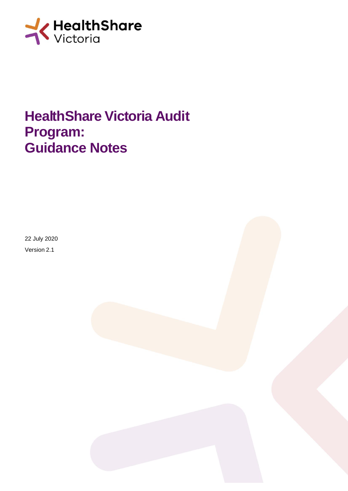

# **HealthShare Victoria Audit Program: Guidance Notes**

22 July 2020 Version 2.1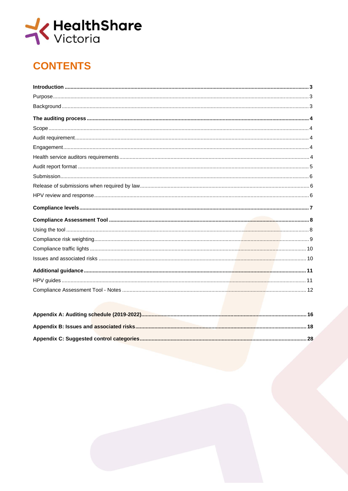

# **CONTENTS**

| . |  |
|---|--|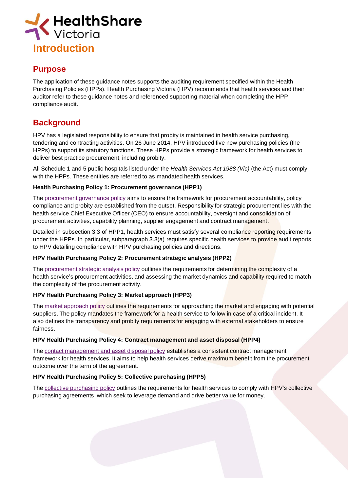

#### **Purpose**

The application of these guidance notes supports the auditing requirement specified within the Health Purchasing Policies (HPPs). Health Purchasing Victoria (HPV) recommends that health services and their auditor refer to these guidance notes and referenced supporting material when completing the HPP compliance audit.

# **Background**

HPV has a legislated responsibility to ensure that probity is maintained in health service purchasing, tendering and contracting activities. On 26 June 2014, HPV introduced five new purchasing policies (the HPPs) to support its statutory functions. These HPPs provide a strategic framework for health services to deliver best practice procurement, including probity.

All Schedule 1 and 5 public hospitals listed under the *Health Services Act 1988 (Vic)* (the Act) must comply with the HPPs. These entities are referred to as mandated health services.

#### **Health Purchasing Policy 1: Procurement governance (HPP1)**

The [procurement](https://www.hpv.org.au/assets/Uploads/HPV-Health-Purchasing-Policy-1.-Procurement-Governance-May-2017.pdf) governance policy aims to ensure the framework for procurement accountability, policy compliance and probity are established from the outset. Responsibility for strategic procurement lies with the health service Chief Executive Officer (CEO) to ensure accountability, oversight and consolidation of procurement activities, capability planning, supplier engagement and contract management.

Detailed in subsection 3.3 of HPP1, health services must satisfy several compliance reporting requirements under the HPPs. In particular, subparagraph 3.3(a) requires specific health services to provide audit reports to HPV detailing compliance with HPV purchasing policies and directions.

#### **HPV Health Purchasing Policy 2: Procurement strategic analysis (HPP2)**

The [procurement](https://www.hpv.org.au/assets/Uploads/HPV-Health-Purchasing-Policy-2.-Procurement-Strategic-Analysis-May-2017.pdf) strategic analysis policy outlines the requirements for determining the complexity of a health service's procurement activities, and assessing the market dynamics and capability required to match the complexity of the procurement activity.

#### **HPV Health Purchasing Policy 3: Market approach (HPP3)**

The market [approach](https://www.hpv.org.au/assets/Uploads/HPV-Health-Purchasing-Policy-3.-Market-Approach-May-2017.pdf) policy outlines the requirements for approaching the market and engaging with potential suppliers. The policy mandates the framework for a health service to follow in case of a critical incident. It also defines the transparency and probity requirements for engaging with external stakeholders to ensure fairness.

#### **HPV Health Purchasing Policy 4: Contract management and asset disposal (HPP4)**

The contact [management](https://www.hpv.org.au/assets/Uploads/HPV-Health-Purchasing-Policy-4.-Contract-Management-and-Asset-Disposal-May-2017.pdf) and asset disposal policy establishes a consistent contract management framework for health services. It aims to help health services derive maximum benefit from the procurement outcome over the term of the agreement.

#### **HPV Health Purchasing Policy 5: Collective purchasing (HPP5)**

The collective [purchasing](https://www.hpv.org.au/assets/Uploads/HPV-Health-Purchasing-Policy-5.-Collective-Purchasing-May-2017.pdf) policy outlines the requirements for health services to comply with HPV's collective purchasing agreements, which seek to leverage demand and drive better value for money.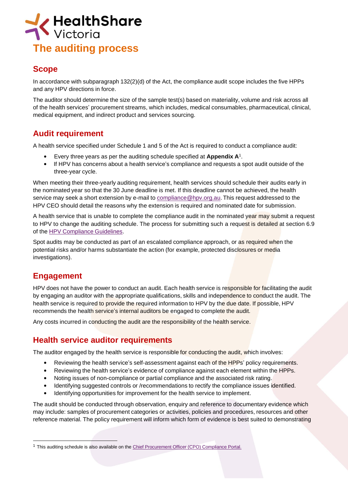

# **Scope**

In accordance with subparagraph 132(2)(d) of the Act, the compliance audit scope includes the five HPPs and any HPV directions in force.

The auditor should determine the size of the sample test(s) based on materiality, volume and risk across all of the health services' procurement streams, which includes, medical consumables, pharmaceutical, clinical, medical equipment, and indirect product and services sourcing.

# **Audit requirement**

A health service specified under Schedule 1 and 5 of the Act is required to conduct a compliance audit:

- Every three years as per the auditing schedule specified at **Appendix A**<sup>1</sup> .
- If HPV has concerns about a health service's compliance and requests a spot audit outside of the three-year cycle.

When meeting their three-yearly auditing requirement, health services should schedule their audits early in the nominated year so that the 30 June deadline is met. If this deadline cannot be achieved, the health service may seek a short extension by e-mail to [compliance@hpv.org.au.](mailto:compliance@hpv.org.au) This request addressed to the HPV CEO should detail the reasons why the extension is required and nominated date for submission.

A health service that is unable to complete the compliance audit in the nominated year may submit a request to HPV to change the auditing schedule. The process for submitting such a request is detailed at section 6.9 of the HPV [Compliance](https://www.hpv.org.au/assets/Health-Service-Compliance/HPV-Compliance-Guidelines-Mandated-Health-Services.pdf) Guidelines.

Spot audits may be conducted as part of an escalated compliance approach, or as required when the potential risks and/or harms substantiate the action (for example, protected disclosures or media investigations).

## **Engagement**

HPV does not have the power to conduct an audit. Each health service is responsible for facilitating the audit by engaging an auditor with the appropriate qualifications, skills and independence to conduct the audit. The health service is required to provide the required information to HPV by the due date. If possible, HPV recommends the health service's internal auditors be engaged to complete the audit.

Any costs incurred in conducting the audit are the responsibility of the health service.

## **Health service auditor requirements**

The auditor engaged by the health service is responsible for conducting the audit, which involves:

- Reviewing the health service's self-assessment against each of the HPPs' policy requirements.
- Reviewing the health service's evidence of compliance against each element within the HPPs.
- Noting issues of non-compliance or partial compliance and the associated risk rating.
- Identifying suggested controls or /recommendations to rectify the compliance issues identified.
- Identifying opportunities for improvement for the health service to implement.

The audit should be conducted through observation, enquiry and reference to documentary evidence which may include: samples of procurement categories or activities, policies and procedures, resources and other reference material. The policy requirement will inform which form of evidence is best suited to demonstrating

<sup>&</sup>lt;sup>1</sup> This auditing schedule is also available on the Chief Procurement Officer [\(CPO\) Compliance](https://www.hpv.org.au/account/compliance/p/audit-schedule-2016-2019) Portal.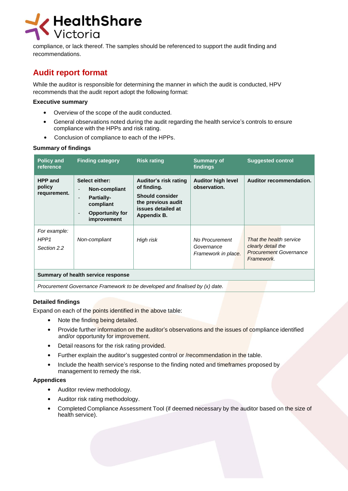

compliance, or lack thereof. The samples should be referenced to support the audit finding and recommendations.

# **Audit report format**

While the auditor is responsible for determining the manner in which the audit is conducted, HPV recommends that the audit report adopt the following format:

#### **Executive summary**

- Overview of the scope of the audit conducted.
- General observations noted during the audit regarding the health service's controls to ensure compliance with the HPPs and risk rating.
- Conclusion of compliance to each of the HPPs.

#### **Summary of findings**

| <b>Policy and</b><br>reference                  | <b>Finding category</b>                                                                                                                                                                  | <b>Risk rating</b>                                                                                                               | <b>Summary of</b><br>findings                       | <b>Suggested control</b>                                                                     |
|-------------------------------------------------|------------------------------------------------------------------------------------------------------------------------------------------------------------------------------------------|----------------------------------------------------------------------------------------------------------------------------------|-----------------------------------------------------|----------------------------------------------------------------------------------------------|
| <b>HPP and</b><br>policy<br>requirement.        | Select either:<br>Non-compliant<br>$\blacksquare$<br><b>Partially-</b><br>$\qquad \qquad \blacksquare$<br>compliant<br><b>Opportunity for</b><br>$\overline{\phantom{0}}$<br>improvement | <b>Auditor's risk rating</b><br>of finding.<br><b>Should consider</b><br>the previous audit<br>issues detailed at<br>Appendix B. | <b>Auditor high level</b><br>observation.           | Auditor recommendation.                                                                      |
| For example:<br>HPP <sub>1</sub><br>Section 2.2 | Non-compliant                                                                                                                                                                            | High risk                                                                                                                        | No Procurement<br>Governance<br>Framework in place. | That the health service<br>clearly detail the<br><b>Procurement Governance</b><br>Framework. |
| Summary of health service response              |                                                                                                                                                                                          |                                                                                                                                  |                                                     |                                                                                              |
|                                                 | Procurement Governance Framework to be developed and finalised by (x) date.                                                                                                              |                                                                                                                                  |                                                     |                                                                                              |

#### **Detailed findings**

Expand on each of the points identified in the above table:

- Note the finding being detailed.
- Provide further information on the auditor's observations and the issues of compliance identified and/or opportunity for improvement.
- Detail reasons for the risk rating provided.
- Further explain the auditor's suggested control or /recommendation in the table.
- Include the health service's response to the finding noted and timeframes proposed by management to remedy the risk.

#### **Appendices**

- Auditor review methodology.
- Auditor risk rating methodology.
- Completed Compliance Assessment Tool (if deemed necessary by the auditor based on the size of health service).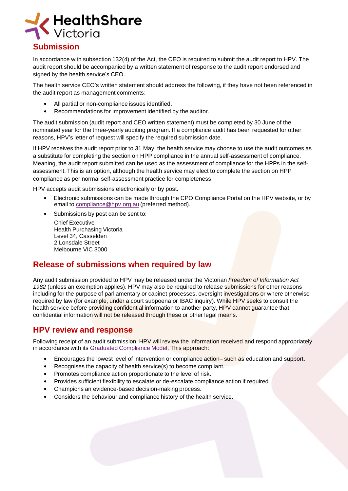

#### **Submission**

In accordance with subsection 132(4) of the Act, the CEO is required to submit the audit report to HPV. The audit report should be accompanied by a written statement of response to the audit report endorsed and signed by the health service's CEO.

The health service CEO's written statement should address the following, if they have not been referenced in the audit report as management comments:

- All partial or non-compliance issues identified.
- Recommendations for improvement identified by the auditor.

The audit submission (audit report and CEO written statement) must be completed by 30 June of the nominated year for the three-yearly auditing program. If a compliance audit has been requested for other reasons, HPV's letter of request will specify the required submission date.

If HPV receives the audit report prior to 31 May, the health service may choose to use the audit outcomes as a substitute for completing the section on HPP compliance in the annual self-assessment of compliance. Meaning, the audit report submitted can be used as the assessment of compliance for the HPPs in the selfassessment. This is an option, although the health service may elect to complete the section on HPP compliance as per normal self-assessment practice for completeness.

HPV accepts audit submissions electronically or by post.

- Electronic submissions can be made through the CPO Compliance Portal on the HPV website, or by email to [compliance@hpv.org.au](mailto:compliance@hpv.org.au) (preferred method).
- Submissions by post can be sent to:

Chief Executive Health Purchasing Victoria Level 34, Casselden 2 Lonsdale Street Melbourne VIC 3000

#### **Release of submissions when required by law**

Any audit submission provided to HPV may be released under the Victorian *Freedom of [Information](https://www.comlaw.gov.au/Series/C2004A02562) Act [1982](https://www.comlaw.gov.au/Series/C2004A02562)* (unless an exemption applies). HPV may also be required to release submissions for other reasons including for the purpose of parliamentary or cabinet processes, oversight investigations or where otherwise required by law (for example, under a court subpoena or IBAC inquiry). While HPV seeks to consult the health service before providing confidential information to another party, HPV cannot quarantee that confidential information will not be released through these or other legal means.

#### **HPV review and response**

Following receipt of an audit submission, HPV will review the information received and respond appropriately in accordance with its Graduated [Compliance](https://www.hpv.org.au/compliance/our-approach/graduated-compliance/) Model. This approach:

- Encourages the lowest level of intervention or compliance action– such as education and support.
- Recognises the capacity of health service(s) to become compliant.
- Promotes compliance action proportionate to the level of risk.
- Provides sufficient flexibility to escalate or de-escalate compliance action if required.
- Champions an evidence-based decision-making process.
- Considers the behaviour and compliance history of the health service.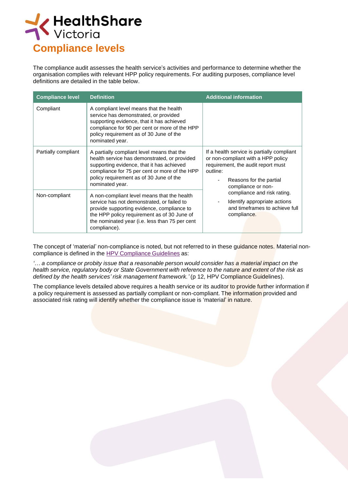

The compliance audit assesses the health service's activities and performance to determine whether the organisation complies with relevant HPP policy requirements. For auditing purposes, compliance level definitions are detailed in the table below.

| <b>Compliance level</b> | <b>Definition</b>                                                                                                                                                                                                                                        | <b>Additional information</b>                                                                                                                                                       |
|-------------------------|----------------------------------------------------------------------------------------------------------------------------------------------------------------------------------------------------------------------------------------------------------|-------------------------------------------------------------------------------------------------------------------------------------------------------------------------------------|
| Compliant               | A compliant level means that the health<br>service has demonstrated, or provided<br>supporting evidence, that it has achieved<br>compliance for 90 per cent or more of the HPP<br>policy requirement as of 30 June of the<br>nominated year.             |                                                                                                                                                                                     |
| Partially compliant     | A partially compliant level means that the<br>health service has demonstrated, or provided<br>supporting evidence, that it has achieved<br>compliance for 75 per cent or more of the HPP<br>policy requirement as of 30 June of the<br>nominated year.   | If a health service is partially compliant<br>or non-compliant with a HPP policy<br>requirement, the audit report must<br>outline:<br>Reasons for the partial<br>compliance or non- |
| Non-compliant           | A non-compliant level means that the health<br>service has not demonstrated, or failed to<br>provide supporting evidence, compliance to<br>the HPP policy requirement as of 30 June of<br>the nominated year (i.e. less than 75 per cent<br>compliance). | compliance and risk rating.<br>Identify appropriate actions<br>and timeframes to achieve full<br>compliance.                                                                        |

The concept of 'material' non-compliance is noted, but not referred to in these quidance notes. Material noncompliance is defined in the HPV Compliance Guidelines as:

"... a compliance or probity issue that a reasonable person would consider has a material impact on the health service, regulatory body or State Government with reference to the nature and extent of the risk as *defined by the health services' risk management framework.'* (p 12, HPV Compliance Guidelines).

The compliance levels detailed above requires a health service or its auditor to provide further information if a policy requirement is assessed as partially compliant or non-compliant. The information provided and associated risk rating will identify whether the compliance issue is 'material' in nature.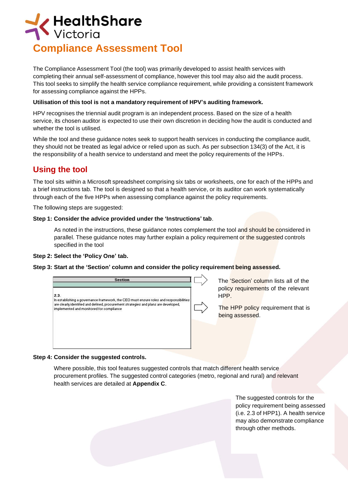

The Compliance Assessment Tool (the tool) was primarily developed to assist health services with completing their annual self-assessment of compliance, however this tool may also aid the audit process. This tool seeks to simplify the health service compliance requirement, while providing a consistent framework for assessing compliance against the HPPs.

#### **Utilisation of this tool is not a mandatory requirement of HPV's auditing framework.**

HPV recognises the triennial audit program is an independent process. Based on the size of a health service, its chosen auditor is expected to use their own discretion in deciding how the audit is conducted and whether the tool is utilised.

While the tool and these guidance notes seek to support health services in conducting the compliance audit, they should not be treated as legal advice or relied upon as such. As per subsection 134(3) of the Act, it is the responsibility of a health service to understand and meet the policy requirements of the HPPs.

# **Using the tool**

The tool sits within a Microsoft spreadsheet comprising six tabs or worksheets, one for each of the HPPs and a brief instructions tab. The tool is designed so that a health service, or its auditor can work systematically through each of the five HPPs when assessing compliance against the policy requirements.

The following steps are suggested:

#### **Step 1: Consider the advice provided under the 'Instructions' tab**.

As noted in the instructions, these guidance notes complement the tool and should be considered in parallel. These guidance notes may further explain a policy requirement or the suggested controls specified in the tool

#### **Step 2: Select the 'Policy One' tab.**

**Step 3: Start at the 'Section' column and consider the policy requirement being assessed.**



The 'Section' column lists all of the policy requirements of the relevant HPP.

The HPP policy requirement that is being assessed.

#### **Step 4: Consider the suggested controls.**

Where possible, this tool features suggested controls that match different health service procurement profiles. The suggested control categories (metro, regional and rural) and relevant health services are detailed at **Appendix C**.

> The suggested controls for the policy requirement being assessed (i.e. 2.3 of HPP1). A health service may also demonstrate compliance through other methods.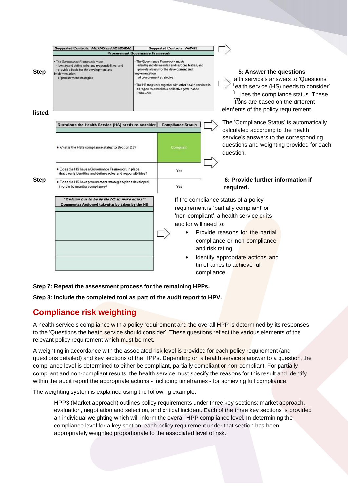|                        | Suggested Controls: METRO and REGIONAL                                                                                                                                             | <b>Procurement Governance Framework</b> | <b>Suggested Controls: RURAL</b>                                                                                                                                                                                                                                               |             |                                                                                                                                                                                                                          |
|------------------------|------------------------------------------------------------------------------------------------------------------------------------------------------------------------------------|-----------------------------------------|--------------------------------------------------------------------------------------------------------------------------------------------------------------------------------------------------------------------------------------------------------------------------------|-------------|--------------------------------------------------------------------------------------------------------------------------------------------------------------------------------------------------------------------------|
| <b>Step</b><br>listed. | The Governance Framework must:<br>- identify and define roles and responsibilities; and<br>- provide a basis for the development and<br>mplementation<br>of procurement strategies | implementation<br><b>framework</b>      | The Governance Framework must:<br>- identify and define roles and responsibilities; and<br>- provide a basis for the development and<br>of procurement strategies<br>The HS may work together with other health services in<br>its region to establish a collective governance |             | 5: Answer the questions<br>alth service's answers to 'Questions<br>ealth service (HS) needs to consider'<br>ines the compliance status. These<br>fions are based on the different<br>elements of the policy requirement. |
|                        |                                                                                                                                                                                    |                                         |                                                                                                                                                                                                                                                                                |             | The 'Compliance Status' is automatically                                                                                                                                                                                 |
|                        | Questions the Health Service (HS) needs to consider                                                                                                                                |                                         | <b>Compliance Status</b>                                                                                                                                                                                                                                                       |             | calculated according to the health                                                                                                                                                                                       |
|                        | . What is the HS's compliance status to Section 2.3?                                                                                                                               |                                         | Compliant                                                                                                                                                                                                                                                                      |             | service's answers to the corresponding<br>questions and weighting provided for each<br>question.                                                                                                                         |
| <b>Step</b>            | . Does the HS have a Governance Framework in place<br>that clearly identifies and defines roles and responsibilities?                                                              |                                         | Yes                                                                                                                                                                                                                                                                            |             |                                                                                                                                                                                                                          |
|                        | . Does the HS have procurement strategies/plans developed,<br>in order to monitor compliance?                                                                                      |                                         | Yes                                                                                                                                                                                                                                                                            |             | 6: Provide further information if<br>required.                                                                                                                                                                           |
|                        | "Column E is to be by the HS to make notes"<br>Comments: Actioned taken/to be taken by the HS                                                                                      |                                         |                                                                                                                                                                                                                                                                                |             | If the compliance status of a policy<br>requirement is 'partially compliant' or<br>'non-compliant', a health service or its                                                                                              |
|                        |                                                                                                                                                                                    |                                         | auditor will need to:                                                                                                                                                                                                                                                          |             |                                                                                                                                                                                                                          |
|                        |                                                                                                                                                                                    |                                         |                                                                                                                                                                                                                                                                                |             | Provide reasons for the partial<br>compliance or non-compliance<br>and risk rating.                                                                                                                                      |
|                        |                                                                                                                                                                                    |                                         |                                                                                                                                                                                                                                                                                | compliance. | Identify appropriate actions and<br>timeframes to achieve full                                                                                                                                                           |

#### **Step 7: Repeat the assessment process for the remaining HPPs.**

**Step 8: Include the completed tool as part of the audit report to HPV.**

## **Compliance risk weighting**

A health service's compliance with a policy requirement and the overall HPP is determined by its responses to the 'Questions the heath service should consider'. These questions reflect the various elements of the relevant policy requirement which must be met.

A weighting in accordance with the associated risk level is provided for each policy requirement (and questions detailed) and key sections of the HPPs. Depending on a health service's answer to a question, the compliance level is determined to either be compliant, partially compliant or non-compliant. For partially compliant and non-compliant results, the health service must specify the reasons for this result and identify within the audit report the appropriate actions - including timeframes - for achieving full compliance.

The weighting system is explained using the following example:

HPP3 (Market approach) outlines policy requirements under three key sections: market approach, evaluation, negotiation and selection, and critical incident. Each of the three key sections is provided an individual weighting which will inform the overall HPP compliance level. In determining the compliance level for a key section, each policy requirement under that section has been appropriately weighted proportionate to the associated level of risk.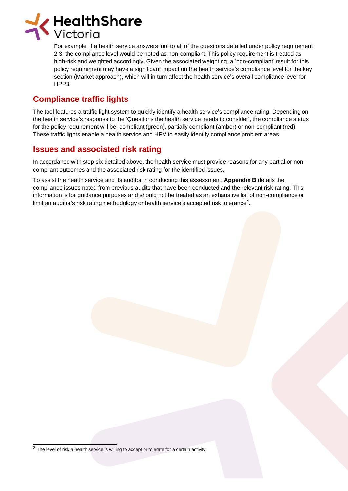

For example, if a health service answers 'no' to all of the questions detailed under policy requirement 2.3, the compliance level would be noted as non-compliant. This policy requirement is treated as high-risk and weighted accordingly. Given the associated weighting, a 'non-compliant' result for this policy requirement may have a significant impact on the health service's compliance level for the key section (Market approach), which will in turn affect the health service's overall compliance level for HPP3.

# **Compliance traffic lights**

The tool features a traffic light system to quickly identify a health service's compliance rating. Depending on the health service's response to the 'Questions the health service needs to consider', the compliance status for the policy requirement will be: compliant (green), partially compliant (amber) or non-compliant (red). These traffic lights enable a health service and HPV to easily identify compliance problem areas.

# **Issues and associated risk rating**

In accordance with step six detailed above, the health service must provide reasons for any partial or noncompliant outcomes and the associated risk rating for the identified issues.

To assist the health service and its auditor in conducting this assessment, **Appendix B** details the compliance issues noted from previous audits that have been conducted and the relevant risk rating. This information is for guidance purposes and should not be treated as an exhaustive list of non-compliance or limit an auditor's risk rating methodology or health service's accepted risk tolerance 2 .

 $2$  The level of risk a health service is willing to accept or tolerate for a certain activity.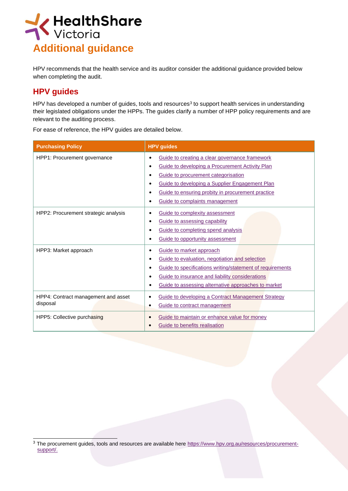

HPV recommends that the health service and its auditor consider the additional guidance provided below when completing the audit.

# **HPV guides**

HPV has developed a number of guides, tools and resources<sup>3</sup> to support health services in understanding their legislated obligations under the HPPs. The guides clarify a number of HPP policy requirements and are relevant to the auditing process.

| <b>Purchasing Policy</b>                        | <b>HPV</b> guides                                                                                                                                                                                                                                                                                                             |
|-------------------------------------------------|-------------------------------------------------------------------------------------------------------------------------------------------------------------------------------------------------------------------------------------------------------------------------------------------------------------------------------|
| HPP1: Procurement governance                    | Guide to creating a clear governance framework<br>٠<br>Guide to developing a Procurement Activity Plan<br>$\bullet$<br>Guide to procurement categorisation<br>Guide to developing a Supplier Engagement Plan<br>$\bullet$<br>Guide to ensuring probity in procurement practice<br>Guide to complaints management<br>$\bullet$ |
| HPP2: Procurement strategic analysis            | Guide to complexity assessment<br>Guide to assessing capability<br>$\bullet$<br>Guide to completing spend analysis<br>$\bullet$<br>Guide to opportunity assessment                                                                                                                                                            |
| HPP3: Market approach                           | Guide to market approach<br>٠<br>Guide to evaluation, negotiation and selection<br>Guide to specifications writing/statement of requirements<br>$\bullet$<br>Guide to insurance and liability considerations<br>Guide to assessing alternative approaches to market<br>٠                                                      |
| HPP4: Contract management and asset<br>disposal | Guide to developing a Contract Management Strategy<br>$\bullet$<br>Guide to contract management<br>$\bullet$                                                                                                                                                                                                                  |
| HPP5: Collective purchasing                     | Guide to maintain or enhance value for money<br>$\bullet$<br>Guide to benefits realisation                                                                                                                                                                                                                                    |

For ease of reference, the HPV guides are detailed below.

<sup>3</sup> The procurement guides, tools and resources are available here [https://www.hpv.org.au/resources/procurement](https://www.hpv.org.au/resources/procurement-support/)[support/.](https://www.hpv.org.au/resources/procurement-support/)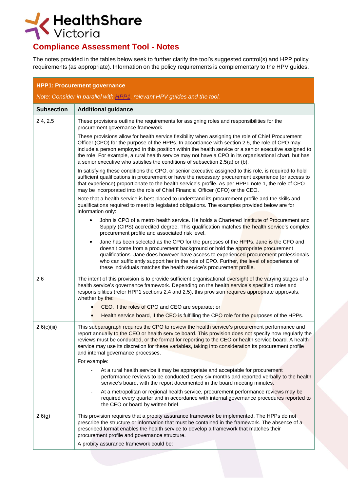

# **Compliance Assessment Tool - Notes**

The notes provided in the tables below seek to further clarify the tool's suggested control(s) and HPP policy requirements (as appropriate). Information on the policy requirements is complementary to the HPV guides.

| <b>HPP1: Procurement governance</b>                                     |                                                                                                                                                                                                                                                                                                                                                                                                                                                                                                         |  |
|-------------------------------------------------------------------------|---------------------------------------------------------------------------------------------------------------------------------------------------------------------------------------------------------------------------------------------------------------------------------------------------------------------------------------------------------------------------------------------------------------------------------------------------------------------------------------------------------|--|
| Note: Consider in parallel with HPP1, relevant HPV guides and the tool. |                                                                                                                                                                                                                                                                                                                                                                                                                                                                                                         |  |
| <b>Subsection</b>                                                       | <b>Additional guidance</b>                                                                                                                                                                                                                                                                                                                                                                                                                                                                              |  |
| 2.4, 2.5                                                                | These provisions outline the requirements for assigning roles and responsibilities for the<br>procurement governance framework.                                                                                                                                                                                                                                                                                                                                                                         |  |
|                                                                         | These provisions allow for health service flexibility when assigning the role of Chief Procurement<br>Officer (CPO) for the purpose of the HPPs. In accordance with section 2.5, the role of CPO may<br>include a person employed in this position within the health service or a senior executive assigned to<br>the role. For example, a rural health service may not have a CPO in its organisational chart, but has<br>a senior executive who satisfies the conditions of subsection 2.5(a) or (b). |  |
|                                                                         | In satisfying these conditions the CPO, or senior executive assigned to this role, is required to hold<br>sufficient qualifications in procurement or have the necessary procurement experience (or access to<br>that experience) proportionate to the health service's profile. As per HPP1 note 1, the role of CPO<br>may be incorporated into the role of Chief Financial Officer (CFO) or the CEO.                                                                                                  |  |
|                                                                         | Note that a health service is best placed to understand its procurement profile and the skills and<br>qualifications required to meet its legislated obligations. The examples provided below are for<br>information only:                                                                                                                                                                                                                                                                              |  |
|                                                                         | John is CPO of a metro health service. He holds a Chartered Institute of Procurement and<br>$\bullet$<br>Supply (CIPS) accredited degree. This qualification matches the health service's complex<br>procurement profile and associated risk level.                                                                                                                                                                                                                                                     |  |
|                                                                         | Jane has been selected as the CPO for the purposes of the HPPs. Jane is the CFO and<br>٠<br>doesn't come from a procurement background or hold the appropriate procurement<br>qualifications. Jane does however have access to experienced procurement professionals<br>who can sufficiently support her in the role of CPO. Further, the level of experience of<br>these individuals matches the health service's procurement profile.                                                                 |  |
| 2.6                                                                     | The intent of this provision is to provide sufficient organisational oversight of the varying stages of a<br>health service's governance framework. Depending on the health service's specified roles and<br>responsibilities (refer HPP1 sections 2.4 and 2.5), this provision requires appropriate approvals,<br>whether by the:                                                                                                                                                                      |  |
|                                                                         | CEO, if the roles of CPO and CEO are separate; or                                                                                                                                                                                                                                                                                                                                                                                                                                                       |  |
|                                                                         | Health service board, if the CEO is fulfilling the CPO role for the purposes of the HPPs.                                                                                                                                                                                                                                                                                                                                                                                                               |  |
| 2.6(c)(iii)                                                             | This subparagraph requires the CPO to review the health service's procurement performance and<br>report annually to the CEO or health service board. This provision does not specify how regularly the<br>reviews must be conducted, or the format for reporting to the CEO or health service board. A health<br>service may use its discretion for these variables, taking into consideration its procurement profile<br>and internal governance processes.                                            |  |
|                                                                         | For example:                                                                                                                                                                                                                                                                                                                                                                                                                                                                                            |  |
|                                                                         | At a rural health service it may be appropriate and acceptable for procurement<br>performance reviews to be conducted every six months and reported verbally to the health<br>service's board, with the report documented in the board meeting minutes.                                                                                                                                                                                                                                                 |  |
|                                                                         | At a metropolitan or regional health service, procurement performance reviews may be<br>required every quarter and in accordance with internal governance procedures reported to<br>the CEO or board by written brief.                                                                                                                                                                                                                                                                                  |  |
| 2.6(g)                                                                  | This provision requires that a probity assurance framework be implemented. The HPPs do not<br>prescribe the structure or information that must be contained in the framework. The absence of a<br>prescribed format enables the health service to develop a framework that matches their<br>procurement profile and governance structure.                                                                                                                                                               |  |
|                                                                         | A probity assurance framework could be:                                                                                                                                                                                                                                                                                                                                                                                                                                                                 |  |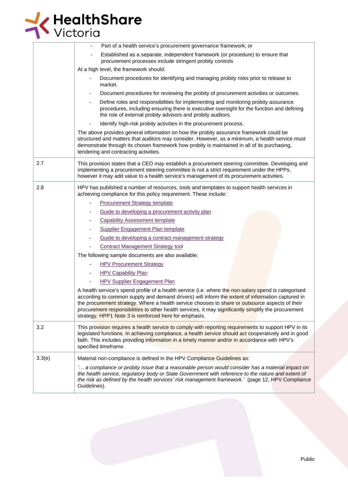

| Part of a health service's procurement governance framework; or<br>Established as a separate, independent framework (or procedure) to ensure that<br>procurement processes include stringent probity controls<br>At a high level, the framework should:<br>Document procedures for identifying and managing probity risks prior to release to<br>market.<br>Document procedures for reviewing the probity of procurement activities or outcomes.<br>Define roles and responsibilities for implementing and monitoring probity assurance<br>procedures, including ensuring there is executive oversight for the function and defining<br>the role of external probity advisors and probity auditors.<br>Identify high-risk probity activities in the procurement process.<br>The above provides general information on how the probity assurance framework could be<br>structured and matters that auditors may consider. However, as a minimum, a health service must<br>demonstrate through its chosen framework how probity is maintained in all of its purchasing,<br>tendering and contracting activities.<br>2.7<br>This provision states that a CEO may establish a procurement steering committee. Developing and<br>implementing a procurement steering committee is not a strict requirement under the HPPs,<br>however it may add value to a health service's management of its procurement activities.<br>2.8<br>HPV has published a number of resources, tools and templates to support health services in<br>achieving compliance for this policy requirement. These include:<br><b>Procurement Strategy template</b><br>Guide to developing a procurement activity plan<br><b>Capability Assessment template</b><br>Supplier Engagement Plan template<br>Guide to developing a contract management strategy<br><b>Contract Management Strategy tool</b><br>The following sample documents are also available:<br><b>HPV Procurement Strategy</b><br><b>HPV Capability Plan</b><br>-<br><b>HPV Supplier Engagement Plan</b><br>A health service's spend profile of a health service (i.e. where the non-salary spend is categorised<br>according to common supply and demand drivers) will inform the extent of information captured in<br>the procurement strategy. Where a health service chooses to share or outsource aspects of their<br>procurement responsibilities to other health services, it may significantly simplify the procurement<br>strategy. HPP1 Note 3 is reinforced here for emphasis.<br>3.2<br>This provision requires a health service to comply with reporting requirements to support HPV in its<br>legislated functions. In achieving compliance, a health service should act cooperatively and in good<br>faith. This includes providing information in a timely manner and/or in accordance with HPV's<br>specified timeframe.<br>3.3(e)<br>Material non-compliance is defined in the HPV Compliance Guidelines as:<br>' a compliance or probity issue that a reasonable person would consider has a material impact on<br>the health service, regulatory body or State Government with reference to the nature and extent of<br>the risk as defined by the health services' risk management framework.' (page 12, HPV Compliance<br>Guidelines). |  |
|----------------------------------------------------------------------------------------------------------------------------------------------------------------------------------------------------------------------------------------------------------------------------------------------------------------------------------------------------------------------------------------------------------------------------------------------------------------------------------------------------------------------------------------------------------------------------------------------------------------------------------------------------------------------------------------------------------------------------------------------------------------------------------------------------------------------------------------------------------------------------------------------------------------------------------------------------------------------------------------------------------------------------------------------------------------------------------------------------------------------------------------------------------------------------------------------------------------------------------------------------------------------------------------------------------------------------------------------------------------------------------------------------------------------------------------------------------------------------------------------------------------------------------------------------------------------------------------------------------------------------------------------------------------------------------------------------------------------------------------------------------------------------------------------------------------------------------------------------------------------------------------------------------------------------------------------------------------------------------------------------------------------------------------------------------------------------------------------------------------------------------------------------------------------------------------------------------------------------------------------------------------------------------------------------------------------------------------------------------------------------------------------------------------------------------------------------------------------------------------------------------------------------------------------------------------------------------------------------------------------------------------------------------------------------------------------------------------------------------------------------------------------------------------------------------------------------------------------------------------------------------------------------------------------------------------------------------------------------------------------------------------------------------------------------------------------------------------------------------------------------------------------------------------------------------------------------------------------------------------------------------------------------------------------|--|
|                                                                                                                                                                                                                                                                                                                                                                                                                                                                                                                                                                                                                                                                                                                                                                                                                                                                                                                                                                                                                                                                                                                                                                                                                                                                                                                                                                                                                                                                                                                                                                                                                                                                                                                                                                                                                                                                                                                                                                                                                                                                                                                                                                                                                                                                                                                                                                                                                                                                                                                                                                                                                                                                                                                                                                                                                                                                                                                                                                                                                                                                                                                                                                                                                                                                                              |  |
|                                                                                                                                                                                                                                                                                                                                                                                                                                                                                                                                                                                                                                                                                                                                                                                                                                                                                                                                                                                                                                                                                                                                                                                                                                                                                                                                                                                                                                                                                                                                                                                                                                                                                                                                                                                                                                                                                                                                                                                                                                                                                                                                                                                                                                                                                                                                                                                                                                                                                                                                                                                                                                                                                                                                                                                                                                                                                                                                                                                                                                                                                                                                                                                                                                                                                              |  |
|                                                                                                                                                                                                                                                                                                                                                                                                                                                                                                                                                                                                                                                                                                                                                                                                                                                                                                                                                                                                                                                                                                                                                                                                                                                                                                                                                                                                                                                                                                                                                                                                                                                                                                                                                                                                                                                                                                                                                                                                                                                                                                                                                                                                                                                                                                                                                                                                                                                                                                                                                                                                                                                                                                                                                                                                                                                                                                                                                                                                                                                                                                                                                                                                                                                                                              |  |
|                                                                                                                                                                                                                                                                                                                                                                                                                                                                                                                                                                                                                                                                                                                                                                                                                                                                                                                                                                                                                                                                                                                                                                                                                                                                                                                                                                                                                                                                                                                                                                                                                                                                                                                                                                                                                                                                                                                                                                                                                                                                                                                                                                                                                                                                                                                                                                                                                                                                                                                                                                                                                                                                                                                                                                                                                                                                                                                                                                                                                                                                                                                                                                                                                                                                                              |  |
|                                                                                                                                                                                                                                                                                                                                                                                                                                                                                                                                                                                                                                                                                                                                                                                                                                                                                                                                                                                                                                                                                                                                                                                                                                                                                                                                                                                                                                                                                                                                                                                                                                                                                                                                                                                                                                                                                                                                                                                                                                                                                                                                                                                                                                                                                                                                                                                                                                                                                                                                                                                                                                                                                                                                                                                                                                                                                                                                                                                                                                                                                                                                                                                                                                                                                              |  |
|                                                                                                                                                                                                                                                                                                                                                                                                                                                                                                                                                                                                                                                                                                                                                                                                                                                                                                                                                                                                                                                                                                                                                                                                                                                                                                                                                                                                                                                                                                                                                                                                                                                                                                                                                                                                                                                                                                                                                                                                                                                                                                                                                                                                                                                                                                                                                                                                                                                                                                                                                                                                                                                                                                                                                                                                                                                                                                                                                                                                                                                                                                                                                                                                                                                                                              |  |
|                                                                                                                                                                                                                                                                                                                                                                                                                                                                                                                                                                                                                                                                                                                                                                                                                                                                                                                                                                                                                                                                                                                                                                                                                                                                                                                                                                                                                                                                                                                                                                                                                                                                                                                                                                                                                                                                                                                                                                                                                                                                                                                                                                                                                                                                                                                                                                                                                                                                                                                                                                                                                                                                                                                                                                                                                                                                                                                                                                                                                                                                                                                                                                                                                                                                                              |  |
|                                                                                                                                                                                                                                                                                                                                                                                                                                                                                                                                                                                                                                                                                                                                                                                                                                                                                                                                                                                                                                                                                                                                                                                                                                                                                                                                                                                                                                                                                                                                                                                                                                                                                                                                                                                                                                                                                                                                                                                                                                                                                                                                                                                                                                                                                                                                                                                                                                                                                                                                                                                                                                                                                                                                                                                                                                                                                                                                                                                                                                                                                                                                                                                                                                                                                              |  |
|                                                                                                                                                                                                                                                                                                                                                                                                                                                                                                                                                                                                                                                                                                                                                                                                                                                                                                                                                                                                                                                                                                                                                                                                                                                                                                                                                                                                                                                                                                                                                                                                                                                                                                                                                                                                                                                                                                                                                                                                                                                                                                                                                                                                                                                                                                                                                                                                                                                                                                                                                                                                                                                                                                                                                                                                                                                                                                                                                                                                                                                                                                                                                                                                                                                                                              |  |
|                                                                                                                                                                                                                                                                                                                                                                                                                                                                                                                                                                                                                                                                                                                                                                                                                                                                                                                                                                                                                                                                                                                                                                                                                                                                                                                                                                                                                                                                                                                                                                                                                                                                                                                                                                                                                                                                                                                                                                                                                                                                                                                                                                                                                                                                                                                                                                                                                                                                                                                                                                                                                                                                                                                                                                                                                                                                                                                                                                                                                                                                                                                                                                                                                                                                                              |  |
|                                                                                                                                                                                                                                                                                                                                                                                                                                                                                                                                                                                                                                                                                                                                                                                                                                                                                                                                                                                                                                                                                                                                                                                                                                                                                                                                                                                                                                                                                                                                                                                                                                                                                                                                                                                                                                                                                                                                                                                                                                                                                                                                                                                                                                                                                                                                                                                                                                                                                                                                                                                                                                                                                                                                                                                                                                                                                                                                                                                                                                                                                                                                                                                                                                                                                              |  |
|                                                                                                                                                                                                                                                                                                                                                                                                                                                                                                                                                                                                                                                                                                                                                                                                                                                                                                                                                                                                                                                                                                                                                                                                                                                                                                                                                                                                                                                                                                                                                                                                                                                                                                                                                                                                                                                                                                                                                                                                                                                                                                                                                                                                                                                                                                                                                                                                                                                                                                                                                                                                                                                                                                                                                                                                                                                                                                                                                                                                                                                                                                                                                                                                                                                                                              |  |
|                                                                                                                                                                                                                                                                                                                                                                                                                                                                                                                                                                                                                                                                                                                                                                                                                                                                                                                                                                                                                                                                                                                                                                                                                                                                                                                                                                                                                                                                                                                                                                                                                                                                                                                                                                                                                                                                                                                                                                                                                                                                                                                                                                                                                                                                                                                                                                                                                                                                                                                                                                                                                                                                                                                                                                                                                                                                                                                                                                                                                                                                                                                                                                                                                                                                                              |  |
|                                                                                                                                                                                                                                                                                                                                                                                                                                                                                                                                                                                                                                                                                                                                                                                                                                                                                                                                                                                                                                                                                                                                                                                                                                                                                                                                                                                                                                                                                                                                                                                                                                                                                                                                                                                                                                                                                                                                                                                                                                                                                                                                                                                                                                                                                                                                                                                                                                                                                                                                                                                                                                                                                                                                                                                                                                                                                                                                                                                                                                                                                                                                                                                                                                                                                              |  |
|                                                                                                                                                                                                                                                                                                                                                                                                                                                                                                                                                                                                                                                                                                                                                                                                                                                                                                                                                                                                                                                                                                                                                                                                                                                                                                                                                                                                                                                                                                                                                                                                                                                                                                                                                                                                                                                                                                                                                                                                                                                                                                                                                                                                                                                                                                                                                                                                                                                                                                                                                                                                                                                                                                                                                                                                                                                                                                                                                                                                                                                                                                                                                                                                                                                                                              |  |
|                                                                                                                                                                                                                                                                                                                                                                                                                                                                                                                                                                                                                                                                                                                                                                                                                                                                                                                                                                                                                                                                                                                                                                                                                                                                                                                                                                                                                                                                                                                                                                                                                                                                                                                                                                                                                                                                                                                                                                                                                                                                                                                                                                                                                                                                                                                                                                                                                                                                                                                                                                                                                                                                                                                                                                                                                                                                                                                                                                                                                                                                                                                                                                                                                                                                                              |  |
|                                                                                                                                                                                                                                                                                                                                                                                                                                                                                                                                                                                                                                                                                                                                                                                                                                                                                                                                                                                                                                                                                                                                                                                                                                                                                                                                                                                                                                                                                                                                                                                                                                                                                                                                                                                                                                                                                                                                                                                                                                                                                                                                                                                                                                                                                                                                                                                                                                                                                                                                                                                                                                                                                                                                                                                                                                                                                                                                                                                                                                                                                                                                                                                                                                                                                              |  |
|                                                                                                                                                                                                                                                                                                                                                                                                                                                                                                                                                                                                                                                                                                                                                                                                                                                                                                                                                                                                                                                                                                                                                                                                                                                                                                                                                                                                                                                                                                                                                                                                                                                                                                                                                                                                                                                                                                                                                                                                                                                                                                                                                                                                                                                                                                                                                                                                                                                                                                                                                                                                                                                                                                                                                                                                                                                                                                                                                                                                                                                                                                                                                                                                                                                                                              |  |
|                                                                                                                                                                                                                                                                                                                                                                                                                                                                                                                                                                                                                                                                                                                                                                                                                                                                                                                                                                                                                                                                                                                                                                                                                                                                                                                                                                                                                                                                                                                                                                                                                                                                                                                                                                                                                                                                                                                                                                                                                                                                                                                                                                                                                                                                                                                                                                                                                                                                                                                                                                                                                                                                                                                                                                                                                                                                                                                                                                                                                                                                                                                                                                                                                                                                                              |  |
|                                                                                                                                                                                                                                                                                                                                                                                                                                                                                                                                                                                                                                                                                                                                                                                                                                                                                                                                                                                                                                                                                                                                                                                                                                                                                                                                                                                                                                                                                                                                                                                                                                                                                                                                                                                                                                                                                                                                                                                                                                                                                                                                                                                                                                                                                                                                                                                                                                                                                                                                                                                                                                                                                                                                                                                                                                                                                                                                                                                                                                                                                                                                                                                                                                                                                              |  |
|                                                                                                                                                                                                                                                                                                                                                                                                                                                                                                                                                                                                                                                                                                                                                                                                                                                                                                                                                                                                                                                                                                                                                                                                                                                                                                                                                                                                                                                                                                                                                                                                                                                                                                                                                                                                                                                                                                                                                                                                                                                                                                                                                                                                                                                                                                                                                                                                                                                                                                                                                                                                                                                                                                                                                                                                                                                                                                                                                                                                                                                                                                                                                                                                                                                                                              |  |
|                                                                                                                                                                                                                                                                                                                                                                                                                                                                                                                                                                                                                                                                                                                                                                                                                                                                                                                                                                                                                                                                                                                                                                                                                                                                                                                                                                                                                                                                                                                                                                                                                                                                                                                                                                                                                                                                                                                                                                                                                                                                                                                                                                                                                                                                                                                                                                                                                                                                                                                                                                                                                                                                                                                                                                                                                                                                                                                                                                                                                                                                                                                                                                                                                                                                                              |  |
|                                                                                                                                                                                                                                                                                                                                                                                                                                                                                                                                                                                                                                                                                                                                                                                                                                                                                                                                                                                                                                                                                                                                                                                                                                                                                                                                                                                                                                                                                                                                                                                                                                                                                                                                                                                                                                                                                                                                                                                                                                                                                                                                                                                                                                                                                                                                                                                                                                                                                                                                                                                                                                                                                                                                                                                                                                                                                                                                                                                                                                                                                                                                                                                                                                                                                              |  |
|                                                                                                                                                                                                                                                                                                                                                                                                                                                                                                                                                                                                                                                                                                                                                                                                                                                                                                                                                                                                                                                                                                                                                                                                                                                                                                                                                                                                                                                                                                                                                                                                                                                                                                                                                                                                                                                                                                                                                                                                                                                                                                                                                                                                                                                                                                                                                                                                                                                                                                                                                                                                                                                                                                                                                                                                                                                                                                                                                                                                                                                                                                                                                                                                                                                                                              |  |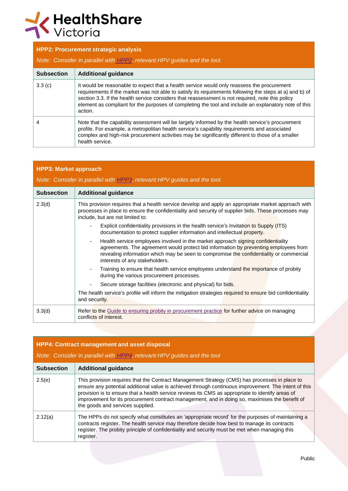# K HealthShare

|                   | <b>HPP2: Procurement strategic analysis</b>                                                                                                                                                                                                                                                                                                                                                                                  |  |  |
|-------------------|------------------------------------------------------------------------------------------------------------------------------------------------------------------------------------------------------------------------------------------------------------------------------------------------------------------------------------------------------------------------------------------------------------------------------|--|--|
|                   | Note: Consider in parallel with HPP2, relevant HPV guides and the tool.                                                                                                                                                                                                                                                                                                                                                      |  |  |
| <b>Subsection</b> | <b>Additional guidance</b>                                                                                                                                                                                                                                                                                                                                                                                                   |  |  |
| 3.3(c)            | It would be reasonable to expect that a health service would only reassess the procurement<br>requirements if the market was not able to satisfy its requirements following the steps at a) and b) of<br>section 3.3. If the health service considers that reassessment is not required, note this policy<br>element as compliant for the purposes of completing the tool and include an explanatory note of this<br>action. |  |  |
| 4                 | Note that the capability assessment will be largely informed by the health service's procurement<br>profile. For example, a metropolitan health service's capability requirements and associated<br>complex and high-risk procurement activities may be significantly different to those of a smaller<br>health service.                                                                                                     |  |  |

| <b>HPP3: Market approach</b> |                                                                                                                                                                                                                                                                                                       |  |
|------------------------------|-------------------------------------------------------------------------------------------------------------------------------------------------------------------------------------------------------------------------------------------------------------------------------------------------------|--|
|                              | Note: Consider in parallel with HPP3, relevant HPV guides and the tool.                                                                                                                                                                                                                               |  |
| <b>Subsection</b>            | <b>Additional guidance</b>                                                                                                                                                                                                                                                                            |  |
| 2.3(d)                       | This provision requires that a health service develop and apply an appropriate market approach with<br>processes in place to ensure the confidentiality and security of supplier bids. These processes may<br>include, but are not limited to:                                                        |  |
|                              | Explicit confidentiality provisions in the health service's Invitation to Supply (ITS)<br>documentation to protect supplier information and intellectual property.                                                                                                                                    |  |
|                              | Health service employees involved in the market approach signing confidentiality<br>agreements. The agreement would protect bid information by preventing employees from<br>revealing information which may be seen to compromise the confidentiality or commercial<br>interests of any stakeholders. |  |
|                              | Training to ensure that health service employees understand the importance of probity<br>$\overline{\phantom{a}}$<br>during the various procurement processes.                                                                                                                                        |  |
|                              | Secure storage facilities (electronic and physical) for bids.                                                                                                                                                                                                                                         |  |
|                              | The health service's profile will inform the mitigation strategies required to ensure bid confidentiality<br>and security.                                                                                                                                                                            |  |
| 3.3(d)                       | Refer to the Guide to ensuring probity in procurement practice for further advice on managing<br>conflicts of interest.                                                                                                                                                                               |  |

| <b>HPP4: Contract management and asset disposal</b> |                                                                                                                                                                                                                                                                                                                                                                                                                                                 |  |
|-----------------------------------------------------|-------------------------------------------------------------------------------------------------------------------------------------------------------------------------------------------------------------------------------------------------------------------------------------------------------------------------------------------------------------------------------------------------------------------------------------------------|--|
|                                                     | Note: Consider in parallel with HPP4, relevant HPV guides and the tool                                                                                                                                                                                                                                                                                                                                                                          |  |
| <b>Subsection</b>                                   | <b>Additional guidance</b>                                                                                                                                                                                                                                                                                                                                                                                                                      |  |
| 2.5(e)                                              | This provision requires that the Contract Management Strategy (CMS) has processes in place to<br>ensure any potential additional value is achieved through continuous improvement. The intent of this<br>provision is to ensure that a health service reviews its CMS as appropriate to identify areas of<br>improvement for its procurement contract management, and in doing so, maximises the benefit of<br>the goods and services supplied. |  |
| 2.12(a)                                             | The HPPs do not specify what constitutes an 'appropriate record' for the purposes of maintaining a<br>contracts register. The health service may therefore decide how best to manage its contracts<br>register. The probity principle of confidentiality and security must be met when managing this<br>register.                                                                                                                               |  |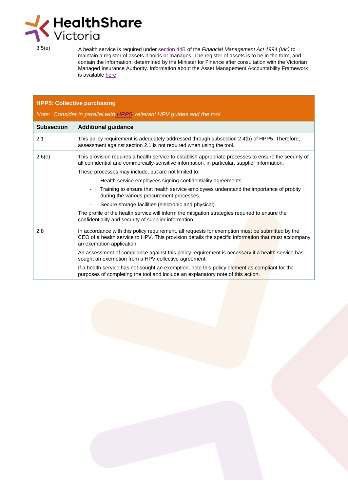

3.5(e) A health service is required under [section](http://www8.austlii.edu.au/cgi-bin/viewdoc/au/legis/vic/consol_act/fma1994164/s44b.html) 44B of the *Financial Management Act 1994 (Vic)* to maintain a register of assets it holds or manages. The register of assets is to be in the form, and contain the information, determined by the Minister for Finance after consultation with the Victorian Managed Insurance Authority. Information about the Asset Management Accountability Framework is available [here.](https://www.dtf.vic.gov.au/infrastructure-investment/asset-management-accountability-framework)

| <b>HPP5: Collective purchasing</b> |                                                                                                                                                                                                                                     |  |
|------------------------------------|-------------------------------------------------------------------------------------------------------------------------------------------------------------------------------------------------------------------------------------|--|
|                                    | Note: Consider in parallel with HPP5 relevant HPV guides and the tool                                                                                                                                                               |  |
| <b>Subsection</b>                  | <b>Additional guidance</b>                                                                                                                                                                                                          |  |
| 2.1                                | This policy requirement is adequately addressed through subsection 2.4(b) of HPP5. Therefore,<br>assessment against section 2.1 is not required when using the tool.                                                                |  |
| 2.6(e)                             | This provision requires a health service to establish appropriate processes to ensure the security of<br>all confidential and commercially-sensitive information, in particular, supplier information.                              |  |
|                                    | These processes may include, but are not limited to:                                                                                                                                                                                |  |
|                                    | Health service employees signing confidentiality agreements.                                                                                                                                                                        |  |
|                                    | Training to ensure that health service employees understand the importance of probity<br>during the various procurement processes.                                                                                                  |  |
|                                    | Secure storage facilities (electronic and physical).                                                                                                                                                                                |  |
|                                    | The profile of the health service will inform the mitigation strategies required to ensure the<br>confidentiality and security of supplier information.                                                                             |  |
| 2.8                                | In accordance with this policy requirement, all requests for exemption must be submitted by the<br>CEO of a health service to HPV. This provision details the specific information that must accompany<br>an exemption application. |  |
|                                    | An assessment of compliance against this policy requirement is necessary if a health service has<br>sought an exemption from a HPV collective agreement.                                                                            |  |
|                                    | If a health service has not sought an exemption, note this policy element as compliant for the<br>purposes of completing the tool and include an explanatory note of this action.                                                   |  |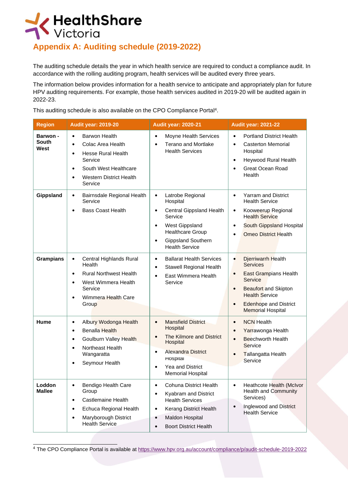

# **Appendix A: Auditing schedule (2019-2022)**

The auditing schedule details the year in which health service are required to conduct a compliance audit. In accordance with the rolling auditing program, health services will be audited every three years.

The information below provides information for a health service to anticipate and appropriately plan for future HPV auditing requirements. For example, those health services audited in 2019-20 will be audited again in 2022-23.

This auditing schedule is also available on the CPO [Compliance](https://www.hpv.org.au/account/compliance/p/audit-schedule-2016-2019) Portal<sup>4</sup>[.](https://www.hpv.org.au/account/compliance/p/audit-schedule-2016-2019)

| <b>Region</b>                    | <b>Audit year: 2019-20</b>                                                                                                                                                                                               | <b>Audit year: 2020-21</b>                                                                                                                                                                       | <b>Audit year: 2021-22</b>                                                                                                                                                                                                                               |
|----------------------------------|--------------------------------------------------------------------------------------------------------------------------------------------------------------------------------------------------------------------------|--------------------------------------------------------------------------------------------------------------------------------------------------------------------------------------------------|----------------------------------------------------------------------------------------------------------------------------------------------------------------------------------------------------------------------------------------------------------|
| <b>Barwon -</b><br>South<br>West | <b>Barwon Health</b><br>$\bullet$<br>Colac Area Health<br>$\bullet$<br><b>Hesse Rural Health</b><br>$\bullet$<br>Service<br>South West Healthcare<br>$\bullet$<br><b>Western District Health</b><br>$\bullet$<br>Service | Moyne Health Services<br>$\bullet$<br>Terang and Mortlake<br><b>Health Services</b>                                                                                                              | <b>Portland District Health</b><br>$\bullet$<br>Casterton Memorial<br>$\bullet$<br>Hospital<br>Heywood Rural Health<br>$\bullet$<br><b>Great Ocean Road</b><br>$\bullet$<br>Health                                                                       |
| Gippsland                        | Bairnsdale Regional Health<br>$\bullet$<br>Service<br><b>Bass Coast Health</b><br>$\bullet$                                                                                                                              | Latrobe Regional<br>$\bullet$<br>Hospital<br>Central Gippsland Health<br>Service<br>West Gippsland<br>$\bullet$<br><b>Healthcare Group</b><br><b>Gippsland Southern</b><br><b>Health Service</b> | <b>Yarram and District</b><br>$\bullet$<br><b>Health Service</b><br>Kooweerup Regional<br>$\bullet$<br><b>Health Service</b><br>South Gippsland Hospital<br>$\bullet$<br><b>Omeo District Health</b>                                                     |
| <b>Grampians</b>                 | Central Highlands Rural<br>$\bullet$<br>Health<br><b>Rural Northwest Health</b><br>$\bullet$<br>West Wimmera Health<br>$\bullet$<br>Service<br>Wimmera Health Care<br>$\bullet$<br>Group                                 | <b>Ballarat Health Services</b><br>$\bullet$<br><b>Stawell Regional Health</b><br>$\bullet$<br>East Wimmera Health<br>Service                                                                    | Djerriwarrh Health<br>$\bullet$<br><b>Services</b><br><b>East Grampians Health</b><br>$\bullet$<br>Service<br><b>Beaufort and Skipton</b><br>$\bullet$<br><b>Health Service</b><br><b>Edenhope and District</b><br>$\bullet$<br><b>Memorial Hospital</b> |
| Hume                             | Albury Wodonga Health<br>$\bullet$<br><b>Benalla Health</b><br>$\bullet$<br>Goulburn Valley Health<br>$\bullet$<br>Northeast Health<br>$\bullet$<br>Wangaratta<br>Seymour Health<br>٠                                    | <b>Mansfield District</b><br>Hospital<br>The Kilmore and District<br>$\bullet$<br>Hospital<br><b>Alexandra District</b><br>$\bullet$<br>HOSPITAI<br>Yea and District<br><b>Memorial Hospital</b> | <b>NCN</b> Health<br>$\bullet$<br>Yarrawonga Health<br>$\bullet$<br><b>Beechworth Health</b><br>$\bullet$<br>Service<br>Tallangatta Health<br>$\bullet$<br>Service                                                                                       |
| Loddon<br><b>Mallee</b>          | Bendigo Health Care<br>$\bullet$<br>Group<br>Castlemaine Health<br>$\bullet$<br>Echuca Regional Health<br>٠<br>Maryborough District<br>$\bullet$<br><b>Health Service</b>                                                | Cohuna District Health<br>$\bullet$<br>Kyabram and District<br><b>Health Services</b><br>Kerang District Health<br>Maldon Hospital<br><b>Boort District Health</b>                               | Heathcote Health (McIvor<br>$\bullet$<br>Health and Community<br>Services)<br>Inglewood and District<br>$\bullet$<br><b>Health Service</b>                                                                                                               |

<sup>4</sup> The CPO Compliance Portal is available a[t https://www.hpv.org.au/account/compliance/p/audit-schedule-2019-2022](https://www.hpv.org.au/account/compliance/p/audit-schedule-2019-2022)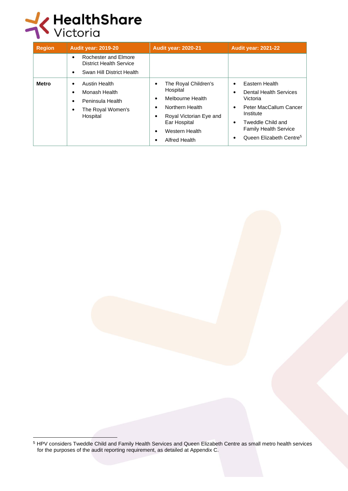

| <b>Region</b> | Audit year: 2019-20                                                                                                    | <b>Audit year: 2020-21</b>                                                                                                                            | <b>Audit year: 2021-22</b>                                                                                                                                                                                                      |
|---------------|------------------------------------------------------------------------------------------------------------------------|-------------------------------------------------------------------------------------------------------------------------------------------------------|---------------------------------------------------------------------------------------------------------------------------------------------------------------------------------------------------------------------------------|
|               | Rochester and Elmore<br>$\bullet$<br><b>District Health Service</b><br>Swan Hill District Health<br>٠                  |                                                                                                                                                       |                                                                                                                                                                                                                                 |
| Metro         | <b>Austin Health</b><br>٠<br>Monash Health<br>$\bullet$<br>Peninsula Health<br>٠<br>The Royal Women's<br>٠<br>Hospital | The Royal Children's<br>Hospital<br>Melbourne Health<br>Northern Health<br>Royal Victorian Eye and<br>Ear Hospital<br>Western Health<br>Alfred Health | Eastern Health<br>$\bullet$<br><b>Dental Health Services</b><br>٠<br>Victoria<br>Peter MacCallum Cancer<br>٠<br>Institute<br>Tweddle Child and<br>٠<br><b>Family Health Service</b><br>Queen Elizabeth Centre <sup>5</sup><br>٠ |

<sup>5</sup> HPV considers Tweddle Child and Family Health Services and Queen Elizabeth Centre as small metro health services for the purposes of the audit reporting requirement, as detailed at Appendix C.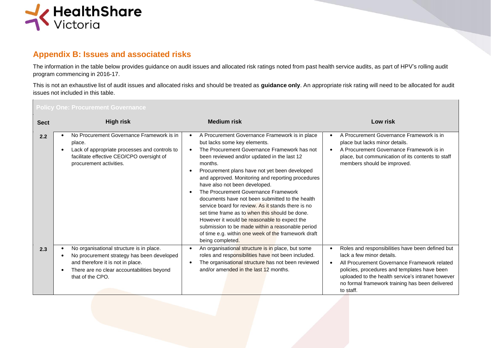

#### **Appendix B: Issues and associated risks**

The information in the table below provides guidance on audit issues and allocated risk ratings noted from past health service audits, as part of HPV's rolling audit program commencing in 2016-17.

This is not an exhaustive list of audit issues and allocated risks and should be treated as **guidance only**. An appropriate risk rating will need to be allocated for audit issues not included in this table.

| Policy One: Procurement Governance |                                                                                                                                                                                               |                                                                                                                                                                                                                                                                                                                                                                                                                                                                                                                                                                                                                                                                                                                   |                                                                                                                                                                                                                                                                                                                              |  |  |
|------------------------------------|-----------------------------------------------------------------------------------------------------------------------------------------------------------------------------------------------|-------------------------------------------------------------------------------------------------------------------------------------------------------------------------------------------------------------------------------------------------------------------------------------------------------------------------------------------------------------------------------------------------------------------------------------------------------------------------------------------------------------------------------------------------------------------------------------------------------------------------------------------------------------------------------------------------------------------|------------------------------------------------------------------------------------------------------------------------------------------------------------------------------------------------------------------------------------------------------------------------------------------------------------------------------|--|--|
| <b>Sect</b>                        | <b>High risk</b>                                                                                                                                                                              | <b>Medium risk</b>                                                                                                                                                                                                                                                                                                                                                                                                                                                                                                                                                                                                                                                                                                | Low risk                                                                                                                                                                                                                                                                                                                     |  |  |
| 2.2                                | No Procurement Governance Framework is in<br>place.<br>Lack of appropriate processes and controls to<br>facilitate effective CEO/CPO oversight of<br>procurement activities.                  | A Procurement Governance Framework is in place<br>but lacks some key elements.<br>The Procurement Governance Framework has not<br>been reviewed and/or updated in the last 12<br>months.<br>Procurement plans have not yet been developed<br>and approved. Monitoring and reporting procedures<br>have also not been developed.<br>The Procurement Governance Framework<br>documents have not been submitted to the health<br>service board for review. As it stands there is no<br>set time frame as to when this should be done.<br>However it would be reasonable to expect the<br>submission to be made within a reasonable period<br>of time e.g. within one week of the framework draft<br>being completed. | A Procurement Governance Framework is in<br>$\bullet$<br>place but lacks minor details.<br>A Procurement Governance Framework is in<br>$\bullet$<br>place, but communication of its contents to staff<br>members should be improved.                                                                                         |  |  |
| 2.3                                | No organisational structure is in place.<br>No procurement strategy has been developed<br>and therefore it is not in place.<br>There are no clear accountabilities beyond<br>that of the CPO. | An organisational structure is in place, but some<br>roles and responsibilities have not been included.<br>The organisational structure has not been reviewed<br>and/or amended in the last 12 months.                                                                                                                                                                                                                                                                                                                                                                                                                                                                                                            | Roles and responsibilities have been defined but<br>$\bullet$<br>lack a few minor details.<br>All Procurement Governance Framework related<br>$\bullet$<br>policies, procedures and templates have been<br>uploaded to the health service's intranet however<br>no formal framework training has been delivered<br>to staff. |  |  |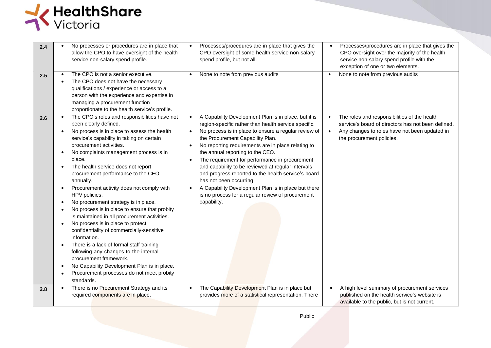

| 2.4 | No processes or procedures are in place that<br>allow the CPO to have oversight of the health<br>service non-salary spend profile.                                                                                                                                                                                                                                                                                                                                                                                                                                                                                                                                                                                                                                                                                                                                           | Processes/procedures are in place that gives the<br>$\bullet$<br>CPO oversight of some health service non-salary<br>spend profile, but not all.                                                                                                                                                                                                                                                                                                                                                                                                                                                                                                                             | Processes/procedures are in place that gives the<br>$\bullet$<br>CPO oversight over the majority of the health<br>service non-salary spend profile with the<br>exception of one or two elements.           |
|-----|------------------------------------------------------------------------------------------------------------------------------------------------------------------------------------------------------------------------------------------------------------------------------------------------------------------------------------------------------------------------------------------------------------------------------------------------------------------------------------------------------------------------------------------------------------------------------------------------------------------------------------------------------------------------------------------------------------------------------------------------------------------------------------------------------------------------------------------------------------------------------|-----------------------------------------------------------------------------------------------------------------------------------------------------------------------------------------------------------------------------------------------------------------------------------------------------------------------------------------------------------------------------------------------------------------------------------------------------------------------------------------------------------------------------------------------------------------------------------------------------------------------------------------------------------------------------|------------------------------------------------------------------------------------------------------------------------------------------------------------------------------------------------------------|
| 2.5 | The CPO is not a senior executive.<br>The CPO does not have the necessary<br>qualifications / experience or access to a<br>person with the experience and expertise in<br>managing a procurement function<br>proportionate to the health service's profile.                                                                                                                                                                                                                                                                                                                                                                                                                                                                                                                                                                                                                  | None to note from previous audits<br>$\bullet$                                                                                                                                                                                                                                                                                                                                                                                                                                                                                                                                                                                                                              | None to note from previous audits<br>$\bullet$                                                                                                                                                             |
| 2.6 | The CPO's roles and responsibilities have not<br>been clearly defined.<br>No process is in place to assess the health<br>service's capability in taking on certain<br>procurement activities.<br>No complaints management process is in<br>place.<br>The health service does not report<br>procurement performance to the CEO<br>annually.<br>Procurement activity does not comply with<br>HPV policies.<br>No procurement strategy is in place.<br>No process is in place to ensure that probity<br>is maintained in all procurement activities.<br>No process is in place to protect<br>confidentiality of commercially-sensitive<br>information.<br>There is a lack of formal staff training<br>following any changes to the internal<br>procurement framework.<br>No Capability Development Plan is in place.<br>Procurement processes do not meet probity<br>standards. | A Capability Development Plan is in place, but it is<br>$\bullet$<br>region-specific rather than health service specific.<br>No process is in place to ensure a regular review of<br>$\bullet$<br>the Procurement Capability Plan.<br>No reporting requirements are in place relating to<br>$\bullet$<br>the annual reporting to the CEO.<br>The requirement for performance in procurement<br>$\bullet$<br>and capability to be reviewed at regular intervals<br>and progress reported to the health service's board<br>has not been occurring.<br>A Capability Development Plan is in place but there<br>is no process for a regular review of procurement<br>capability. | The roles and responsibilities of the health<br>$\bullet$<br>service's board of directors has not been defined.<br>Any changes to roles have not been updated in<br>$\bullet$<br>the procurement policies. |
| 2.8 | There is no Procurement Strategy and its<br>required components are in place.                                                                                                                                                                                                                                                                                                                                                                                                                                                                                                                                                                                                                                                                                                                                                                                                | The Capability Development Plan is in place but<br>$\bullet$<br>provides more of a statistical representation. There                                                                                                                                                                                                                                                                                                                                                                                                                                                                                                                                                        | A high level summary of procurement services<br>$\bullet$<br>published on the health service's website is<br>available to the public, but is not current.                                                  |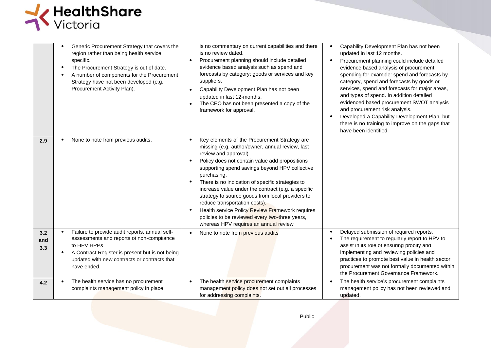

|                   | Generic Procurement Strategy that covers the<br>region rather than being health service<br>specific.<br>The Procurement Strategy is out of date.<br>$\bullet$<br>A number of components for the Procurement<br>Strategy have not been developed (e.g.<br>Procurement Activity Plan). | is no commentary on current capabilities and there<br>is no review dated.<br>Procurement planning should include detailed<br>evidence based analysis such as spend and<br>forecasts by category; goods or services and key<br>suppliers.<br>Capability Development Plan has not been<br>updated in last 12-months.<br>The CEO has not been presented a copy of the<br>framework for approval.                                                                                                                                                                                            | Capability Development Plan has not been<br>$\bullet$<br>updated in last 12 months.<br>Procurement planning could include detailed<br>$\bullet$<br>evidence based analysis of procurement<br>spending for example: spend and forecasts by<br>category, spend and forecasts by goods or<br>services, spend and forecasts for major areas,<br>and types of spend. In addition detailed<br>evidenced based procurement SWOT analysis<br>and procurement risk analysis.<br>Developed a Capability Development Plan, but<br>$\bullet$<br>there is no training to improve on the gaps that<br>have been identified. |
|-------------------|--------------------------------------------------------------------------------------------------------------------------------------------------------------------------------------------------------------------------------------------------------------------------------------|------------------------------------------------------------------------------------------------------------------------------------------------------------------------------------------------------------------------------------------------------------------------------------------------------------------------------------------------------------------------------------------------------------------------------------------------------------------------------------------------------------------------------------------------------------------------------------------|---------------------------------------------------------------------------------------------------------------------------------------------------------------------------------------------------------------------------------------------------------------------------------------------------------------------------------------------------------------------------------------------------------------------------------------------------------------------------------------------------------------------------------------------------------------------------------------------------------------|
| 2.9               | None to note from previous audits.                                                                                                                                                                                                                                                   | Key elements of the Procurement Strategy are<br>missing (e.g. author/owner, annual review, last<br>review and approval).<br>Policy does not contain value add propositions<br>supporting spend savings beyond HPV collective<br>purchasing.<br>There is no indication of specific strategies to<br>increase value under the contract (e.g. a specific<br>strategy to source goods from local providers to<br>reduce transportation costs).<br>Health service Policy Review Framework requires<br>policies to be reviewed every two-three years,<br>whereas HPV requires an annual review |                                                                                                                                                                                                                                                                                                                                                                                                                                                                                                                                                                                                               |
| 3.2<br>and<br>3.3 | Failure to provide audit reports, annual self-<br>assessments and reports of non-compliance<br>to HPV HPPS<br>A Contract Register is present but is not being<br>updated with new contracts or contracts that<br>have ended.                                                         | None to note from previous audits                                                                                                                                                                                                                                                                                                                                                                                                                                                                                                                                                        | Delayed submission of required reports.<br>$\bullet$<br>The requirement to regularly report to HPV to<br>$\bullet$<br>assist in its role of ensuring probity and<br>implementing and reviewing policies and<br>practices to promote best value in health sector<br>procurement was not formally documented within<br>the Procurement Governance Framework.                                                                                                                                                                                                                                                    |
| 4.2               | The health service has no procurement<br>complaints management policy in place.                                                                                                                                                                                                      | The health service procurement complaints<br>management policy does not set out all processes<br>for addressing complaints.                                                                                                                                                                                                                                                                                                                                                                                                                                                              | The health service's procurement complaints<br>$\bullet$<br>management policy has not been reviewed and<br>updated.                                                                                                                                                                                                                                                                                                                                                                                                                                                                                           |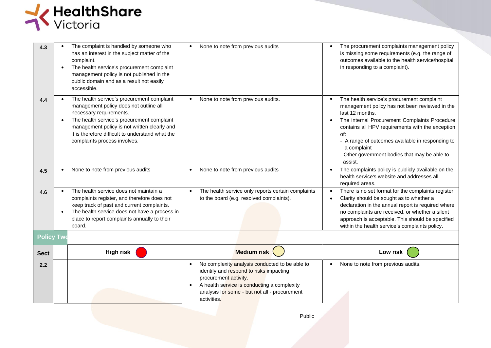

| 4.3               | The complaint is handled by someone who<br>has an interest in the subject matter of the<br>complaint.<br>The health service's procurement complaint<br>management policy is not published in the<br>public domain and as a result not easily<br>accessible.                                       | None to note from previous audits                                                                                                                                                                                                 | The procurement complaints management policy<br>is missing some requirements (e.g. the range of<br>outcomes available to the health service/hospital<br>in responding to a complaint).                                                                                                                                                                                               |
|-------------------|---------------------------------------------------------------------------------------------------------------------------------------------------------------------------------------------------------------------------------------------------------------------------------------------------|-----------------------------------------------------------------------------------------------------------------------------------------------------------------------------------------------------------------------------------|--------------------------------------------------------------------------------------------------------------------------------------------------------------------------------------------------------------------------------------------------------------------------------------------------------------------------------------------------------------------------------------|
| 4.4               | The health service's procurement complaint<br>management policy does not outline all<br>necessary requirements.<br>The health service's procurement complaint<br>management policy is not written clearly and<br>it is therefore difficult to understand what the<br>complaints process involves. | None to note from previous audits.<br>$\bullet$                                                                                                                                                                                   | The health service's procurement complaint<br>$\bullet$<br>management policy has not been reviewed in the<br>last 12 months.<br>The internal Procurement Complaints Procedure<br>$\bullet$<br>contains all HPV requirements with the exception<br>of:<br>- A range of outcomes available in responding to<br>a complaint<br>- Other government bodies that may be able to<br>assist. |
| 4.5               | None to note from previous audits                                                                                                                                                                                                                                                                 | None to note from previous audits<br>$\bullet$                                                                                                                                                                                    | The complaints policy is publicly available on the<br>$\bullet$<br>health service's website and addresses all<br>required areas.                                                                                                                                                                                                                                                     |
| 4.6               | The health service does not maintain a<br>complaints register, and therefore does not<br>keep track of past and current complaints.<br>The health service does not have a process in<br>place to report complaints annually to their<br>board.                                                    | The health service only reports certain complaints<br>$\bullet$<br>to the board (e.g. resolved complaints).                                                                                                                       | There is no set format for the complaints register.<br>$\bullet$<br>Clarity should be sought as to whether a<br>$\bullet$<br>declaration in the annual report is required where<br>no complaints are received, or whether a silent<br>approach is acceptable. This should be specified<br>within the health service's complaints policy.                                             |
| <b>Policy Two</b> |                                                                                                                                                                                                                                                                                                   |                                                                                                                                                                                                                                   |                                                                                                                                                                                                                                                                                                                                                                                      |
| <b>Sect</b>       | <b>High risk</b>                                                                                                                                                                                                                                                                                  | <b>Medium risk</b>                                                                                                                                                                                                                | Low risk                                                                                                                                                                                                                                                                                                                                                                             |
| 2.2               |                                                                                                                                                                                                                                                                                                   | No complexity analysis conducted to be able to<br>identify and respond to risks impacting<br>procurement activity.<br>A health service is conducting a complexity<br>analysis for some - but not all - procurement<br>activities. | None to note from previous audits.                                                                                                                                                                                                                                                                                                                                                   |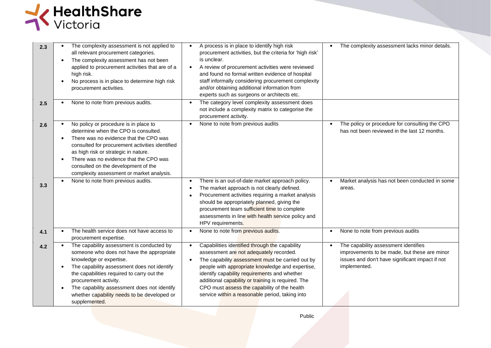

| 2.3 | The complexity assessment is not applied to<br>all relevant procurement categories.<br>The complexity assessment has not been<br>applied to procurement activities that are of a<br>high risk.<br>No process is in place to determine high risk<br>procurement activities.                                                                                          | A process is in place to identify high risk<br>procurement activities, but the criteria for 'high risk'<br>is unclear.<br>A review of procurement activities were reviewed<br>$\bullet$<br>and found no formal written evidence of hospital<br>staff informally considering procurement complexity<br>and/or obtaining additional information from<br>experts such as surgeons or architects etc.                       | The complexity assessment lacks minor details.<br>$\bullet$                                                                                             |
|-----|---------------------------------------------------------------------------------------------------------------------------------------------------------------------------------------------------------------------------------------------------------------------------------------------------------------------------------------------------------------------|-------------------------------------------------------------------------------------------------------------------------------------------------------------------------------------------------------------------------------------------------------------------------------------------------------------------------------------------------------------------------------------------------------------------------|---------------------------------------------------------------------------------------------------------------------------------------------------------|
| 2.5 | None to note from previous audits.                                                                                                                                                                                                                                                                                                                                  | The category level complexity assessment does<br>not include a complexity matrix to categorise the<br>procurement activity.                                                                                                                                                                                                                                                                                             |                                                                                                                                                         |
| 2.6 | No policy or procedure is in place to<br>determine when the CPO is consulted.<br>There was no evidence that the CPO was<br>consulted for procurement activities identified<br>as high risk or strategic in nature.<br>There was no evidence that the CPO was<br>consulted on the development of the<br>complexity assessment or market analysis.                    | None to note from previous audits<br>$\bullet$                                                                                                                                                                                                                                                                                                                                                                          | The policy or procedure for consulting the CPO<br>$\bullet$<br>has not been reviewed in the last 12 months.                                             |
| 3.3 | None to note from previous audits.                                                                                                                                                                                                                                                                                                                                  | There is an out-of-date market approach policy.<br>$\bullet$<br>The market approach is not clearly defined.<br>$\bullet$<br>Procurement activities requiring a market analysis<br>$\bullet$<br>should be appropriately planned, giving the<br>procurement team sufficient time to complete<br>assessments in line with health service policy and<br>HPV requirements.                                                   | Market analysis has not been conducted in some<br>$\bullet$<br>areas.                                                                                   |
| 4.1 | The health service does not have access to<br>procurement expertise.                                                                                                                                                                                                                                                                                                | None to note from previous audits.                                                                                                                                                                                                                                                                                                                                                                                      | None to note from previous audits                                                                                                                       |
| 4.2 | The capability assessment is conducted by<br>someone who does not have the appropriate<br>knowledge or expertise.<br>The capability assessment does not identify<br>the capabilities required to carry out the<br>procurement activity.<br>The capability assessment does not identify<br>$\bullet$<br>whether capability needs to be developed or<br>supplemented. | Capabilities identified through the capability<br>$\bullet$<br>assessment are not adequately recorded.<br>The capability assessment must be carried out by<br>people with appropriate knowledge and expertise,<br>identify capability requirements and whether<br>additional capability or training is required. The<br>CPO must assess the capability of the health<br>service within a reasonable period, taking into | The capability assessment identifies<br>improvements to be made, but these are minor<br>issues and don't have significant impact if not<br>implemented. |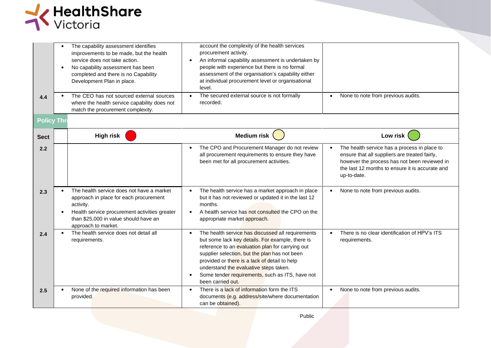

| 4.4<br><b>Policy Three</b> | The capability assessment identifies<br>improvements to be made, but the health<br>service does not take action.<br>No capability assessment has been<br>$\bullet$<br>completed and there is no Capability<br>Development Plan in place.<br>The CEO has not sourced external sources<br>where the health service capability does not<br>match the procurement complexity. | account the complexity of the health services<br>procurement activity.<br>An informal capability assessment is undertaken by<br>people with experience but there is no formal<br>assessment of the organisation's capability either<br>at individual procurement level or organisational<br>level.<br>The secured external source is not formally<br>recorded.                | None to note from previous audits.<br>$\bullet$                                                                                                                                                                              |
|----------------------------|---------------------------------------------------------------------------------------------------------------------------------------------------------------------------------------------------------------------------------------------------------------------------------------------------------------------------------------------------------------------------|-------------------------------------------------------------------------------------------------------------------------------------------------------------------------------------------------------------------------------------------------------------------------------------------------------------------------------------------------------------------------------|------------------------------------------------------------------------------------------------------------------------------------------------------------------------------------------------------------------------------|
|                            |                                                                                                                                                                                                                                                                                                                                                                           |                                                                                                                                                                                                                                                                                                                                                                               |                                                                                                                                                                                                                              |
| <b>Sect</b>                | <b>High risk</b>                                                                                                                                                                                                                                                                                                                                                          | <b>Medium risk</b>                                                                                                                                                                                                                                                                                                                                                            | Low risk                                                                                                                                                                                                                     |
| 2.2                        |                                                                                                                                                                                                                                                                                                                                                                           | The CPO and Procurement Manager do not review<br>all procurement requirements to ensure they have<br>been met for all procurement activities.                                                                                                                                                                                                                                 | The health service has a process in place to<br>$\bullet$<br>ensure that all suppliers are treated fairly,<br>however the process has not been reviewed in<br>the last 12 months to ensure it is accurate and<br>up-to-date. |
| 2.3                        | The health service does not have a market<br>approach in place for each procurement<br>activity.<br>Health service procurement activities greater<br>than \$25,000 in value should have an<br>approach to market.                                                                                                                                                         | The health service has a market approach in place<br>but it has not reviewed or updated it in the last 12<br>months.<br>A health service has not consulted the CPO on the<br>appropriate market approach.                                                                                                                                                                     | None to note from previous audits.                                                                                                                                                                                           |
| 2.4                        | The health service does not detail all<br>requirements.                                                                                                                                                                                                                                                                                                                   | The health service has discussed all requirements<br>but some lack key details. For example, there is<br>reference to an evaluation plan for carrying out<br>supplier selection, but the plan has not been<br>provided or there is a lack of detail to help<br>understand the evaluative steps taken.<br>Some tender requirements, such as ITS, have not<br>been carried out. | There is no clear identification of HPV's ITS<br>$\bullet$<br>requirements.                                                                                                                                                  |
| 2.5                        | None of the required information has been<br>provided.                                                                                                                                                                                                                                                                                                                    | There is a lack of information form the ITS<br>documents (e.g. address/site/where documentation<br>can be obtained).                                                                                                                                                                                                                                                          | None to note from previous audits.<br>$\bullet$                                                                                                                                                                              |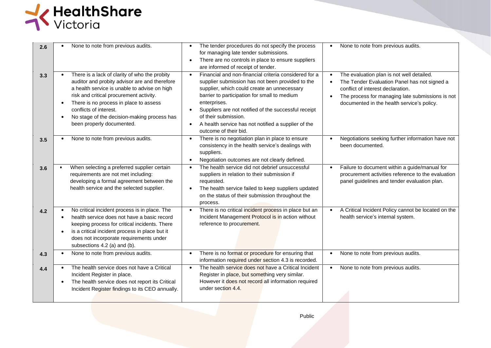

| 2.6 | None to note from previous audits.                                                                                                                                                                                                                                                                                                                     | The tender procedures do not specify the process<br>for managing late tender submissions.<br>There are no controls in place to ensure suppliers<br>$\bullet$<br>are informed of receipt of tender.                                                                                                                                                                                                    | None to note from previous audits.                                                                                                                                                                                                                         |
|-----|--------------------------------------------------------------------------------------------------------------------------------------------------------------------------------------------------------------------------------------------------------------------------------------------------------------------------------------------------------|-------------------------------------------------------------------------------------------------------------------------------------------------------------------------------------------------------------------------------------------------------------------------------------------------------------------------------------------------------------------------------------------------------|------------------------------------------------------------------------------------------------------------------------------------------------------------------------------------------------------------------------------------------------------------|
| 3.3 | There is a lack of clarity of who the probity<br>auditor and probity advisor are and therefore<br>a health service is unable to advise on high<br>risk and critical procurement activity.<br>There is no process in place to assess<br>conflicts of interest.<br>No stage of the decision-making process has<br>$\bullet$<br>been properly documented. | Financial and non-financial criteria considered for a<br>$\bullet$<br>supplier submission has not been provided to the<br>supplier, which could create an unnecessary<br>barrier to participation for small to medium<br>enterprises.<br>Suppliers are not notified of the successful receipt<br>of their submission.<br>A health service has not notified a supplier of the<br>outcome of their bid. | The evaluation plan is not well detailed.<br>$\bullet$<br>The Tender Evaluation Panel has not signed a<br>conflict of interest declaration.<br>The process for managing late submissions is not<br>$\bullet$<br>documented in the health service's policy. |
| 3.5 | None to note from previous audits.                                                                                                                                                                                                                                                                                                                     | There is no negotiation plan in place to ensure<br>$\bullet$<br>consistency in the health service's dealings with<br>suppliers.<br>Negotiation outcomes are not clearly defined.                                                                                                                                                                                                                      | Negotiations seeking further information have not<br>been documented.                                                                                                                                                                                      |
| 3.6 | When selecting a preferred supplier certain<br>requirements are not met including:<br>developing a formal agreement between the<br>health service and the selected supplier.                                                                                                                                                                           | The health service did not debrief unsuccessful<br>suppliers in relation to their submission if<br>requested.<br>The health service failed to keep suppliers updated<br>$\bullet$<br>on the status of their submission throughout the<br>process.                                                                                                                                                     | Failure to document within a guide/manual for<br>$\bullet$<br>procurement activities reference to the evaluation<br>panel guidelines and tender evaluation plan.                                                                                           |
| 4.2 | No critical incident process is in place. The<br>health service does not have a basic record<br>keeping process for critical incidents. There<br>is a critical incident process in place but it<br>does not incorporate requirements under<br>subsections 4.2 (a) and (b).                                                                             | There is no critical incident process in place but an<br>$\bullet$<br>Incident Management Protocol is in action without<br>reference to procurement.                                                                                                                                                                                                                                                  | A Critical Incident Policy cannot be located on the<br>health service's internal system.                                                                                                                                                                   |
| 4.3 | None to note from previous audits.                                                                                                                                                                                                                                                                                                                     | There is no format or procedure for ensuring that<br>information required under section 4.3 is recorded.                                                                                                                                                                                                                                                                                              | None to note from previous audits.<br>$\bullet$                                                                                                                                                                                                            |
| 4.4 | The health service does not have a Critical<br>Incident Register in place.<br>The health service does not report its Critical<br>Incident Register findings to its CEO annually.                                                                                                                                                                       | The health service does not have a Critical Incident<br>Register in place, but something very similar.<br>However it does not record all information required<br>under section 4.4.                                                                                                                                                                                                                   | None to note from previous audits.<br>$\bullet$                                                                                                                                                                                                            |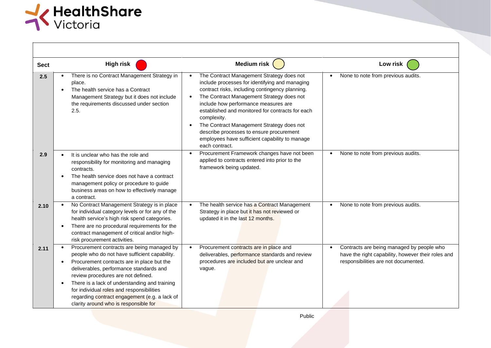

| <b>Sect</b> | <b>High risk</b>                                                                                                                                                                                                                                                                                                                                                                                                   | <b>Medium risk</b>                                                                                                                                                                                                                                                                                                                                                                                                                                                  | Low risk                                                                                                                                             |
|-------------|--------------------------------------------------------------------------------------------------------------------------------------------------------------------------------------------------------------------------------------------------------------------------------------------------------------------------------------------------------------------------------------------------------------------|---------------------------------------------------------------------------------------------------------------------------------------------------------------------------------------------------------------------------------------------------------------------------------------------------------------------------------------------------------------------------------------------------------------------------------------------------------------------|------------------------------------------------------------------------------------------------------------------------------------------------------|
| 2.5         | There is no Contract Management Strategy in<br>place.<br>The health service has a Contract<br>Management Strategy but it does not include<br>the requirements discussed under section<br>2.5.                                                                                                                                                                                                                      | The Contract Management Strategy does not<br>include processes for identifying and managing<br>contract risks, including contingency planning.<br>The Contract Management Strategy does not<br>include how performance measures are<br>established and monitored for contracts for each<br>complexity.<br>The Contract Management Strategy does not<br>describe processes to ensure procurement<br>employees have sufficient capability to manage<br>each contract. | None to note from previous audits.<br>$\bullet$                                                                                                      |
| 2.9         | It is unclear who has the role and<br>responsibility for monitoring and managing<br>contracts.<br>The health service does not have a contract<br>management policy or procedure to guide<br>business areas on how to effectively manage<br>a contract.                                                                                                                                                             | Procurement Framework changes have not been<br>$\bullet$<br>applied to contracts entered into prior to the<br>framework being updated.                                                                                                                                                                                                                                                                                                                              | None to note from previous audits.<br>$\bullet$                                                                                                      |
| 2.10        | No Contract Management Strategy is in place<br>for individual category levels or for any of the<br>health service's high risk spend categories.<br>There are no procedural requirements for the<br>contract management of critical and/or high-<br>risk procurement activities.                                                                                                                                    | The health service has a Contract Management<br>Strategy in place but it has not reviewed or<br>updated it in the last 12 months.                                                                                                                                                                                                                                                                                                                                   | None to note from previous audits.                                                                                                                   |
| 2.11        | Procurement contracts are being managed by<br>people who do not have sufficient capability.<br>Procurement contracts are in place but the<br>deliverables, performance standards and<br>review procedures are not defined.<br>There is a lack of understanding and training<br>for individual roles and responsibilities<br>regarding contract engagement (e.g. a lack of<br>clarity around who is responsible for | Procurement contracts are in place and<br>deliverables, performance standards and review<br>procedures are included but are unclear and<br>vague.                                                                                                                                                                                                                                                                                                                   | Contracts are being managed by people who<br>$\bullet$<br>have the right capability, however their roles and<br>responsibilities are not documented. |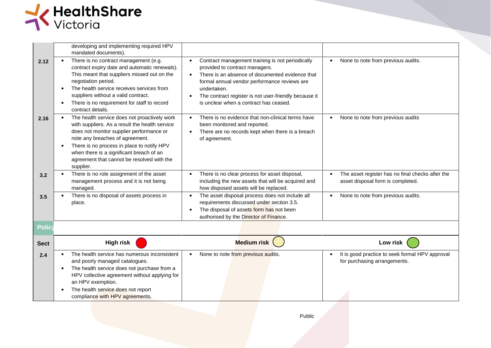

|               | developing and implementing required HPV<br>mandated documents).                                                                                                                                                                                                                                                                   |                                                                                                                                                                                                                                                                                                         |                                                                                                    |
|---------------|------------------------------------------------------------------------------------------------------------------------------------------------------------------------------------------------------------------------------------------------------------------------------------------------------------------------------------|---------------------------------------------------------------------------------------------------------------------------------------------------------------------------------------------------------------------------------------------------------------------------------------------------------|----------------------------------------------------------------------------------------------------|
| 2.12          | There is no contract management (e.g.<br>contract expiry date and automatic renewals).<br>This meant that suppliers missed out on the<br>negotiation period.<br>The health service receives services from<br>suppliers without a valid contract.<br>There is no requirement for staff to record<br>contract details.               | Contract management training is not periodically<br>provided to contract managers.<br>There is an absence of documented evidence that<br>formal annual vendor performance reviews are<br>undertaken.<br>The contract register is not user-friendly because it<br>is unclear when a contract has ceased. | None to note from previous audits.<br>$\bullet$                                                    |
| 2.16          | The health service does not proactively work<br>with suppliers. As a result the health service<br>does not monitor supplier performance or<br>note any breaches of agreement.<br>There is no process in place to notify HPV<br>when there is a significant breach of an<br>agreement that cannot be resolved with the<br>supplier. | There is no evidence that non-clinical terms have<br>been monitored and reported.<br>There are no records kept when there is a breach<br>of agreement.                                                                                                                                                  | None to note from previous audits<br>$\bullet$                                                     |
| 3.2           | There is no role assignment of the asset<br>management process and it is not being<br>managed.                                                                                                                                                                                                                                     | There is no clear process for asset disposal,<br>including the new assets that will be acquired and<br>how disposed assets will be replaced.                                                                                                                                                            | The asset register has no final checks after the<br>$\bullet$<br>asset disposal form is completed. |
| 3.5           | There is no disposal of assets process in<br>place.                                                                                                                                                                                                                                                                                | The asset disposal process does not include all<br>requirements discussed under section 3.5.<br>The disposal of assets form has not been<br>authorised by the Director of Finance.                                                                                                                      | None to note from previous audits.                                                                 |
| <b>Policy</b> |                                                                                                                                                                                                                                                                                                                                    |                                                                                                                                                                                                                                                                                                         |                                                                                                    |
| <b>Sect</b>   | <b>High risk</b>                                                                                                                                                                                                                                                                                                                   | Medium risk                                                                                                                                                                                                                                                                                             | Low risk                                                                                           |
| 2.4           | The health service has numerous inconsistent<br>and poorly managed catalogues.<br>The health service does not purchase from a<br>HPV collective agreement without applying for<br>an HPV exemption.<br>The health service does not report<br>compliance with HPV agreements.                                                       | None to note from previous audits.                                                                                                                                                                                                                                                                      | It is good practice to seek formal HPV approval<br>for purchasing arrangements.                    |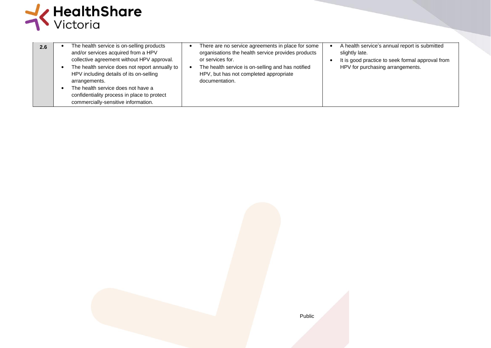

| 2.6 | The health service is on-selling products<br>and/or services acquired from a HPV<br>collective agreement without HPV approval.<br>The health service does not report annually to<br>HPV including details of its on-selling<br>arrangements.<br>The health service does not have a<br>confidentiality process in place to protect<br>commercially-sensitive information. | There are no service agreements in place for some<br>organisations the health service provides products<br>or services for.<br>The health service is on-selling and has notified<br>HPV, but has not completed appropriate<br>documentation. | A health service's annual report is submitted<br>slightly late.<br>It is good practice to seek formal approval from<br>HPV for purchasing arrangements. |
|-----|--------------------------------------------------------------------------------------------------------------------------------------------------------------------------------------------------------------------------------------------------------------------------------------------------------------------------------------------------------------------------|----------------------------------------------------------------------------------------------------------------------------------------------------------------------------------------------------------------------------------------------|---------------------------------------------------------------------------------------------------------------------------------------------------------|
|-----|--------------------------------------------------------------------------------------------------------------------------------------------------------------------------------------------------------------------------------------------------------------------------------------------------------------------------------------------------------------------------|----------------------------------------------------------------------------------------------------------------------------------------------------------------------------------------------------------------------------------------------|---------------------------------------------------------------------------------------------------------------------------------------------------------|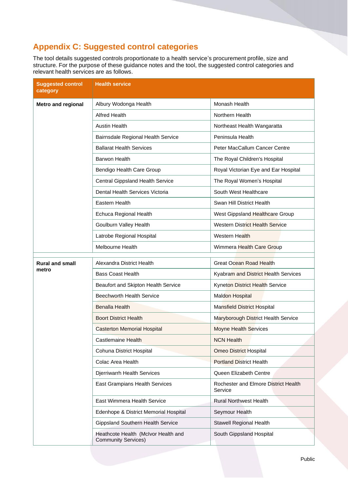# **Appendix C: Suggested control categories**

The tool details suggested controls proportionate to a health service's procurement profile, size and structure. For the purpose of these guidance notes and the tool, the suggested control categories and relevant health services are as follows.

| <b>Suggested control</b><br>category | <b>Health service</b>                                             |                                                 |
|--------------------------------------|-------------------------------------------------------------------|-------------------------------------------------|
| Metro and regional                   | Albury Wodonga Health                                             | Monash Health                                   |
|                                      | Alfred Health                                                     | Northern Health                                 |
|                                      | <b>Austin Health</b>                                              | Northeast Health Wangaratta                     |
|                                      | Bairnsdale Regional Health Service                                | Peninsula Health                                |
|                                      | <b>Ballarat Health Services</b>                                   | Peter MacCallum Cancer Centre                   |
|                                      | <b>Barwon Health</b>                                              | The Royal Children's Hospital                   |
|                                      | Bendigo Health Care Group                                         | Royal Victorian Eye and Ear Hospital            |
|                                      | Central Gippsland Health Service                                  | The Royal Women's Hospital                      |
|                                      | Dental Health Services Victoria                                   | South West Healthcare                           |
|                                      | Eastern Health                                                    | Swan Hill District Health                       |
|                                      | Echuca Regional Health                                            | West Gippsland Healthcare Group                 |
|                                      | Goulburn Valley Health                                            | <b>Western District Health Service</b>          |
|                                      | Latrobe Regional Hospital                                         | <b>Western Health</b>                           |
|                                      | Melbourne Health                                                  | Wimmera Health Care Group                       |
| <b>Rural and small</b><br>metro      | Alexandra District Health                                         | <b>Great Ocean Road Health</b>                  |
|                                      | <b>Bass Coast Health</b>                                          | Kyabram and District Health Services            |
|                                      | Beaufort and Skipton Health Service                               | Kyneton District Health Service                 |
|                                      | <b>Beechworth Health Service</b>                                  | <b>Maldon Hospital</b>                          |
|                                      | <b>Benalla Health</b>                                             | <b>Mansfield District Hospital</b>              |
|                                      | <b>Boort District Health</b>                                      | Maryborough District Health Service             |
|                                      | <b>Casterton Memorial Hospital</b>                                | <b>Moyne Health Services</b>                    |
|                                      | Castlemaine Health                                                | <b>NCN Health</b>                               |
|                                      | Cohuna District Hospital                                          | <b>Omeo District Hospital</b>                   |
|                                      | Colac Area Health                                                 | <b>Portland District Health</b>                 |
|                                      | Djerriwarrh Health Services                                       | Queen Elizabeth Centre                          |
|                                      | East Grampians Health Services                                    | Rochester and Elmore District Health<br>Service |
|                                      | East Wimmera Health Service                                       | <b>Rural Northwest Health</b>                   |
|                                      | Edenhope & District Memorial Hospital                             | Seymour Health                                  |
|                                      | <b>Gippsland Southern Health Service</b>                          | Stawell Regional Health                         |
|                                      | Heathcote Health (McIvor Health and<br><b>Community Services)</b> | South Gippsland Hospital                        |